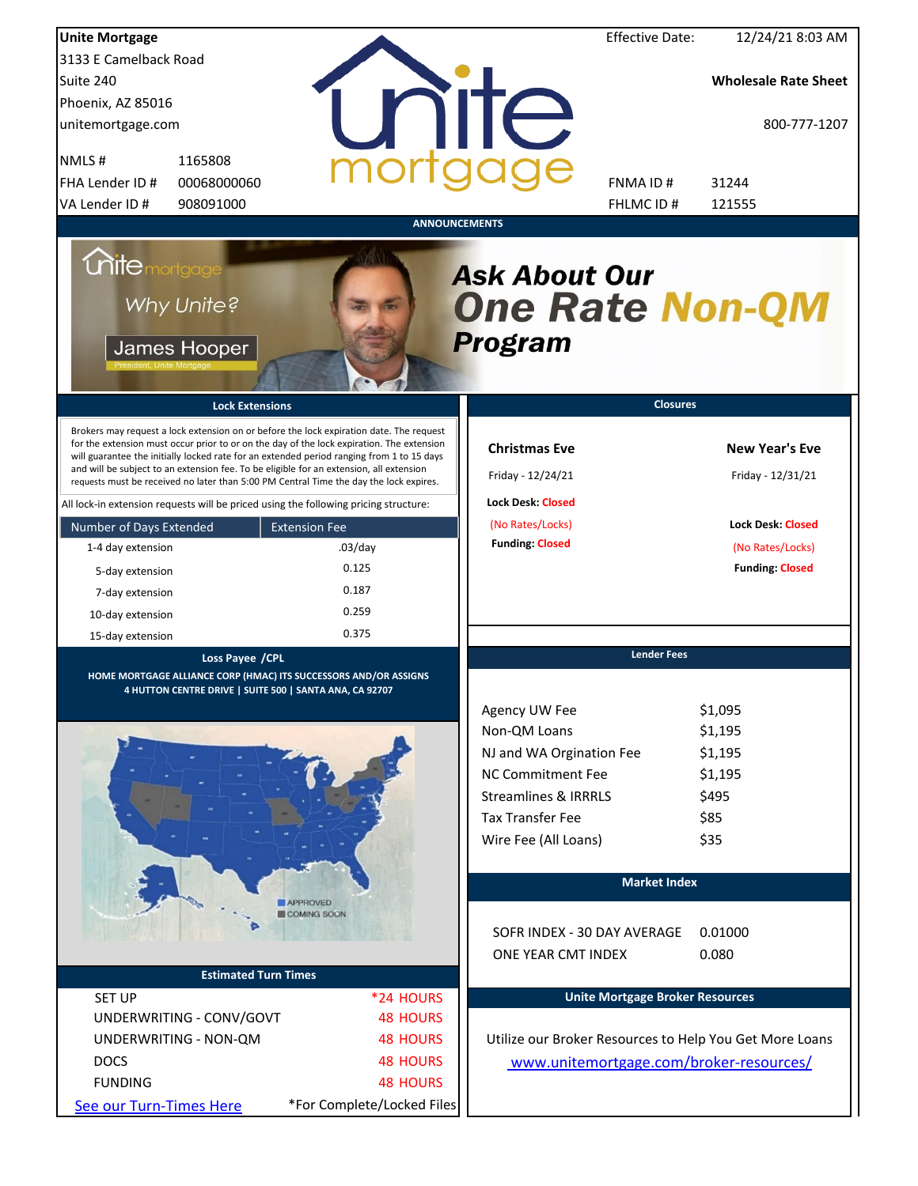| <b>Unite Mortgage</b>                                                                                                                                                                                                                                                                                                                                                                                                                                                                                                                                                                                                                                                                                                                 |                                                               |                                                                                                                                                                                                                 | <b>Effective Date:</b>                 | 12/24/21 8:03 AM                                                                                                     |
|---------------------------------------------------------------------------------------------------------------------------------------------------------------------------------------------------------------------------------------------------------------------------------------------------------------------------------------------------------------------------------------------------------------------------------------------------------------------------------------------------------------------------------------------------------------------------------------------------------------------------------------------------------------------------------------------------------------------------------------|---------------------------------------------------------------|-----------------------------------------------------------------------------------------------------------------------------------------------------------------------------------------------------------------|----------------------------------------|----------------------------------------------------------------------------------------------------------------------|
| 3133 E Camelback Road                                                                                                                                                                                                                                                                                                                                                                                                                                                                                                                                                                                                                                                                                                                 |                                                               |                                                                                                                                                                                                                 |                                        |                                                                                                                      |
| Suite 240                                                                                                                                                                                                                                                                                                                                                                                                                                                                                                                                                                                                                                                                                                                             |                                                               |                                                                                                                                                                                                                 |                                        | <b>Wholesale Rate Sheet</b>                                                                                          |
| Phoenix, AZ 85016                                                                                                                                                                                                                                                                                                                                                                                                                                                                                                                                                                                                                                                                                                                     |                                                               |                                                                                                                                                                                                                 |                                        |                                                                                                                      |
| unitemortgage.com                                                                                                                                                                                                                                                                                                                                                                                                                                                                                                                                                                                                                                                                                                                     |                                                               | <b>TITE</b>                                                                                                                                                                                                     |                                        | 800-777-1207                                                                                                         |
| 1165808<br>NMLS#                                                                                                                                                                                                                                                                                                                                                                                                                                                                                                                                                                                                                                                                                                                      |                                                               |                                                                                                                                                                                                                 |                                        |                                                                                                                      |
| FHA Lender ID #<br>00068000060                                                                                                                                                                                                                                                                                                                                                                                                                                                                                                                                                                                                                                                                                                        |                                                               |                                                                                                                                                                                                                 | FNMA ID#                               | 31244                                                                                                                |
| VA Lender ID #<br>908091000                                                                                                                                                                                                                                                                                                                                                                                                                                                                                                                                                                                                                                                                                                           |                                                               |                                                                                                                                                                                                                 | FHLMC ID #                             | 121555                                                                                                               |
| <b>Unite</b> mortgage<br>Why Unite?<br>James Hooper<br><b>Lock Extensions</b><br>Brokers may request a lock extension on or before the lock expiration date. The request<br>for the extension must occur prior to or on the day of the lock expiration. The extension<br>will guarantee the initially locked rate for an extended period ranging from 1 to 15 days<br>and will be subject to an extension fee. To be eligible for an extension, all extension<br>requests must be received no later than 5:00 PM Central Time the day the lock expires.<br>All lock-in extension requests will be priced using the following pricing structure:<br>Number of Days Extended<br>1-4 day extension<br>5-day extension<br>7-day extension | <b>Extension Fee</b><br>$.03$ /day<br>0.125<br>0.187<br>0.259 | <b>ANNOUNCEMENTS</b><br><b>Ask About Our</b><br><b>One Rate Non-QM</b><br><b>Program</b><br><b>Christmas Eve</b><br>Friday - 12/24/21<br><b>Lock Desk: Closed</b><br>(No Rates/Locks)<br><b>Funding: Closed</b> | <b>Closures</b>                        | <b>New Year's Eve</b><br>Friday - 12/31/21<br><b>Lock Desk: Closed</b><br>(No Rates/Locks)<br><b>Funding: Closed</b> |
| 10-day extension<br>15-day extension                                                                                                                                                                                                                                                                                                                                                                                                                                                                                                                                                                                                                                                                                                  | 0.375                                                         |                                                                                                                                                                                                                 |                                        |                                                                                                                      |
|                                                                                                                                                                                                                                                                                                                                                                                                                                                                                                                                                                                                                                                                                                                                       |                                                               |                                                                                                                                                                                                                 | <b>Lender Fees</b>                     |                                                                                                                      |
| Loss Payee / CPL<br>HOME MORTGAGE ALLIANCE CORP (HMAC) ITS SUCCESSORS AND/OR ASSIGNS<br>4 HUTTON CENTRE DRIVE   SUITE 500   SANTA ANA, CA 92707                                                                                                                                                                                                                                                                                                                                                                                                                                                                                                                                                                                       |                                                               |                                                                                                                                                                                                                 |                                        |                                                                                                                      |
|                                                                                                                                                                                                                                                                                                                                                                                                                                                                                                                                                                                                                                                                                                                                       |                                                               | Agency UW Fee                                                                                                                                                                                                   |                                        | \$1,095                                                                                                              |
|                                                                                                                                                                                                                                                                                                                                                                                                                                                                                                                                                                                                                                                                                                                                       |                                                               | Non-QM Loans                                                                                                                                                                                                    |                                        | \$1,195                                                                                                              |
|                                                                                                                                                                                                                                                                                                                                                                                                                                                                                                                                                                                                                                                                                                                                       |                                                               | NJ and WA Orgination Fee                                                                                                                                                                                        |                                        | \$1,195                                                                                                              |
|                                                                                                                                                                                                                                                                                                                                                                                                                                                                                                                                                                                                                                                                                                                                       |                                                               | <b>NC Commitment Fee</b>                                                                                                                                                                                        |                                        | \$1,195                                                                                                              |
|                                                                                                                                                                                                                                                                                                                                                                                                                                                                                                                                                                                                                                                                                                                                       |                                                               | <b>Streamlines &amp; IRRRLS</b>                                                                                                                                                                                 |                                        | \$495                                                                                                                |
|                                                                                                                                                                                                                                                                                                                                                                                                                                                                                                                                                                                                                                                                                                                                       |                                                               | <b>Tax Transfer Fee</b>                                                                                                                                                                                         |                                        | \$85                                                                                                                 |
|                                                                                                                                                                                                                                                                                                                                                                                                                                                                                                                                                                                                                                                                                                                                       |                                                               | Wire Fee (All Loans)                                                                                                                                                                                            |                                        | \$35                                                                                                                 |
|                                                                                                                                                                                                                                                                                                                                                                                                                                                                                                                                                                                                                                                                                                                                       |                                                               |                                                                                                                                                                                                                 | <b>Market Index</b>                    |                                                                                                                      |
|                                                                                                                                                                                                                                                                                                                                                                                                                                                                                                                                                                                                                                                                                                                                       | <b>APPROVED</b><br>COMING SOON                                |                                                                                                                                                                                                                 |                                        |                                                                                                                      |
|                                                                                                                                                                                                                                                                                                                                                                                                                                                                                                                                                                                                                                                                                                                                       |                                                               | SOFR INDEX - 30 DAY AVERAGE                                                                                                                                                                                     |                                        | 0.01000                                                                                                              |
|                                                                                                                                                                                                                                                                                                                                                                                                                                                                                                                                                                                                                                                                                                                                       |                                                               | ONE YEAR CMT INDEX                                                                                                                                                                                              |                                        | 0.080                                                                                                                |
| <b>Estimated Turn Times</b>                                                                                                                                                                                                                                                                                                                                                                                                                                                                                                                                                                                                                                                                                                           |                                                               |                                                                                                                                                                                                                 |                                        |                                                                                                                      |
| <b>SET UP</b>                                                                                                                                                                                                                                                                                                                                                                                                                                                                                                                                                                                                                                                                                                                         | *24 HOURS                                                     |                                                                                                                                                                                                                 | <b>Unite Mortgage Broker Resources</b> |                                                                                                                      |
| UNDERWRITING - CONV/GOVT                                                                                                                                                                                                                                                                                                                                                                                                                                                                                                                                                                                                                                                                                                              | <b>48 HOURS</b>                                               |                                                                                                                                                                                                                 |                                        |                                                                                                                      |
| UNDERWRITING - NON-QM                                                                                                                                                                                                                                                                                                                                                                                                                                                                                                                                                                                                                                                                                                                 | <b>48 HOURS</b>                                               |                                                                                                                                                                                                                 |                                        | Utilize our Broker Resources to Help You Get More Loans                                                              |
| <b>DOCS</b>                                                                                                                                                                                                                                                                                                                                                                                                                                                                                                                                                                                                                                                                                                                           | <b>48 HOURS</b>                                               |                                                                                                                                                                                                                 |                                        |                                                                                                                      |
|                                                                                                                                                                                                                                                                                                                                                                                                                                                                                                                                                                                                                                                                                                                                       |                                                               |                                                                                                                                                                                                                 |                                        | www.unitemortgage.com/broker-resources/                                                                              |
| <b>FUNDING</b>                                                                                                                                                                                                                                                                                                                                                                                                                                                                                                                                                                                                                                                                                                                        | <b>48 HOURS</b>                                               |                                                                                                                                                                                                                 |                                        |                                                                                                                      |
| See our Turn-Times Here                                                                                                                                                                                                                                                                                                                                                                                                                                                                                                                                                                                                                                                                                                               | *For Complete/Locked Files                                    |                                                                                                                                                                                                                 |                                        |                                                                                                                      |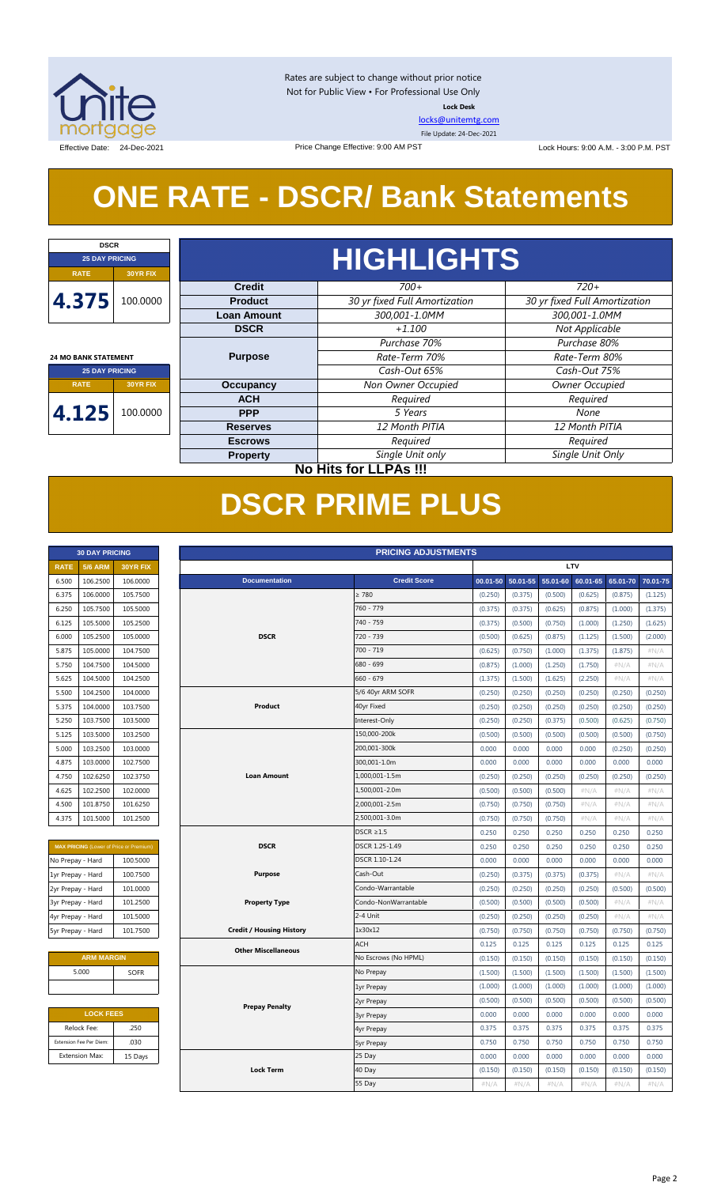

Rates are subject to change without prior notice Not for Public View • For Professional Use Only **Lock Desk**

[locks@unitemtg.com](mailto:locks@unitemtg.com)

File Update: 24-Dec-2021

Effective Date: 24-Dec-2021 Price Change Effective: 9:00 AM PST Lock Hours: 9:00 A.M. - 3:00 P.M. PST

## **ONE RATE - DSCR/ Bank Statements**

Price Change Effective: 9:00 AM PST

| <b>DSCR</b>                 |                              |                    |                               |                               |         |      |  |  |  |  |  |
|-----------------------------|------------------------------|--------------------|-------------------------------|-------------------------------|---------|------|--|--|--|--|--|
| <b>25 DAY PRICING</b>       |                              | <b>HIGHLIGHTS</b>  |                               |                               |         |      |  |  |  |  |  |
| <b>RATE</b>                 | <b>30YR FIX</b>              |                    |                               |                               |         |      |  |  |  |  |  |
|                             |                              | <b>Credit</b>      | $700+$                        | $720+$                        |         |      |  |  |  |  |  |
| 4.375                       | 100.0000                     | <b>Product</b>     | 30 yr fixed Full Amortization | 30 yr fixed Full Amortization |         |      |  |  |  |  |  |
|                             |                              | <b>Loan Amount</b> | 300,001-1.0MM                 | 300,001-1.0MM                 |         |      |  |  |  |  |  |
|                             |                              | <b>DSCR</b>        | $+1.100$                      | Not Applicable                |         |      |  |  |  |  |  |
|                             |                              |                    | Purchase 70%                  | Purchase 80%                  |         |      |  |  |  |  |  |
| <b>24 MO BANK STATEMENT</b> |                              | <b>Purpose</b>     | Rate-Term 70%                 | Rate-Term 80%                 |         |      |  |  |  |  |  |
| <b>25 DAY PRICING</b>       |                              |                    | Cash-Out 65%                  | Cash-Out 75%                  |         |      |  |  |  |  |  |
| <b>RATE</b>                 | <b>30YR FIX</b>              | <b>Occupancy</b>   | Non Owner Occupied            | Owner Occupied                |         |      |  |  |  |  |  |
|                             |                              | <b>ACH</b>         | Required                      | Required                      |         |      |  |  |  |  |  |
| 4.125                       | 100.0000                     |                    |                               | <b>PPP</b>                    | 5 Years | None |  |  |  |  |  |
|                             |                              | <b>Reserves</b>    | 12 Month PITIA                | 12 Month PITIA                |         |      |  |  |  |  |  |
|                             |                              | <b>Escrows</b>     | Required                      | Required                      |         |      |  |  |  |  |  |
|                             |                              | <b>Property</b>    | Single Unit only              | Single Unit Only              |         |      |  |  |  |  |  |
|                             | <b>No Hits for LLPAs !!!</b> |                    |                               |                               |         |      |  |  |  |  |  |

## **DSCR PRIME PLUS**

| <b>30 DAY PRICING</b> |                |                 |  |  |  |  |  |
|-----------------------|----------------|-----------------|--|--|--|--|--|
| <b>RATE</b>           | <b>5/6 ARM</b> | <b>30YR FIX</b> |  |  |  |  |  |
| 6.500                 | 106.2500       | 106.0000        |  |  |  |  |  |
| 6.375                 | 106.0000       | 105.7500        |  |  |  |  |  |
| 6.250                 | 105.7500       | 105.5000        |  |  |  |  |  |
| 6.125                 | 105.5000       | 105.2500        |  |  |  |  |  |
| 6.000                 | 105.2500       | 105.0000        |  |  |  |  |  |
| 5.875                 | 105.0000       | 104.7500        |  |  |  |  |  |
| 5.750                 | 104.7500       | 104.5000        |  |  |  |  |  |
| 5.625                 | 104.5000       | 104.2500        |  |  |  |  |  |
| 5.500                 | 104.2500       | 104.0000        |  |  |  |  |  |
| 5.375                 | 104.0000       | 103.7500        |  |  |  |  |  |
| 5.250                 | 103.7500       | 103.5000        |  |  |  |  |  |
| 5.125                 | 103.5000       | 103.2500        |  |  |  |  |  |
| 5.000                 | 103.2500       | 103.0000        |  |  |  |  |  |
| 4.875                 | 103.0000       | 102.7500        |  |  |  |  |  |
| 4.750                 | 102.6250       | 102.3750        |  |  |  |  |  |
| 4.625                 | 102.2500       | 102.0000        |  |  |  |  |  |
| 4.500                 | 101.8750       | 101.6250        |  |  |  |  |  |
| 4.375                 | 101.5000       | 101.2500        |  |  |  |  |  |

| <b>MAX PRICING</b> (Lower of Price or Premium) |          |  |  |  |  |
|------------------------------------------------|----------|--|--|--|--|
| No Prepay - Hard                               | 100.5000 |  |  |  |  |
| 1yr Prepay - Hard                              | 100.7500 |  |  |  |  |
| 2yr Prepay - Hard                              | 101.0000 |  |  |  |  |
| 3yr Prepay - Hard                              | 101.2500 |  |  |  |  |
| 4yr Prepay - Hard                              | 101.5000 |  |  |  |  |
| 5yr Prepay - Hard                              | 101.7500 |  |  |  |  |

| <b>ARM MARGIN</b> |             |
|-------------------|-------------|
| 5.000             | <b>SOFR</b> |
|                   |             |

| <b>LOCK FEES</b>        |         |  |  |  |  |  |  |
|-------------------------|---------|--|--|--|--|--|--|
| Relock Fee:             | .250    |  |  |  |  |  |  |
| Extension Fee Per Diem: | .030    |  |  |  |  |  |  |
| <b>Extension Max:</b>   | 15 Days |  |  |  |  |  |  |
|                         |         |  |  |  |  |  |  |

|                   | <b>PRICING ADJUSTMENTS</b><br><b>30 DAY PRICING</b> |                                                |  |                                 |                      |          |          |          |          |          |          |
|-------------------|-----------------------------------------------------|------------------------------------------------|--|---------------------------------|----------------------|----------|----------|----------|----------|----------|----------|
| <b>RATE</b>       | <b>5/6 ARM</b>                                      | 30YR FIX                                       |  | LTV                             |                      |          |          |          |          |          |          |
| 6.500             | 106.2500                                            | 106.0000                                       |  | <b>Documentation</b>            | <b>Credit Score</b>  | 00.01-50 | 50.01-55 | 55.01-60 | 60.01-65 | 65.01-70 | 70.01-75 |
| 6.375             | 106.0000                                            | 105.7500                                       |  |                                 | $\geq 780$           | (0.250)  | (0.375)  | (0.500)  | (0.625)  | (0.875)  | (1.125)  |
| 6.250             | 105.7500                                            | 105.5000                                       |  |                                 | 760 - 779            | (0.375)  | (0.375)  | (0.625)  | (0.875)  | (1.000)  | (1.375)  |
| 6.125             | 105.5000                                            | 105.2500                                       |  |                                 | 740 - 759            | (0.375)  | (0.500)  | (0.750)  | (1.000)  | (1.250)  | (1.625)  |
| 6.000             | 105.2500                                            | 105.0000                                       |  | <b>DSCR</b>                     | 720 - 739            | (0.500)  | (0.625)  | (0.875)  | (1.125)  | (1.500)  | (2.000)  |
| 5.875             | 105.0000                                            | 104.7500                                       |  |                                 | $700 - 719$          | (0.625)  | (0.750)  | (1.000)  | (1.375)  | (1.875)  | #N/A     |
| 5.750             | 104.7500                                            | 104.5000                                       |  |                                 | 680 - 699            | (0.875)  | (1.000)  | (1.250)  | (1.750)  | $\#N/A$  | $\#N/A$  |
| 5.625             | 104.5000                                            | 104.2500                                       |  |                                 | $660 - 679$          | (1.375)  | (1.500)  | (1.625)  | (2.250)  | #N/A     | $\#N/A$  |
| 5.500             | 104.2500                                            | 104.0000                                       |  |                                 | 5/6 40yr ARM SOFR    | (0.250)  | (0.250)  | (0.250)  | (0.250)  | (0.250)  | (0.250)  |
| 5.375             | 104.0000                                            | 103.7500                                       |  | Product                         | 40yr Fixed           | (0.250)  | (0.250)  | (0.250)  | (0.250)  | (0.250)  | (0.250)  |
| 5.250             | 103.7500                                            | 103.5000                                       |  |                                 | Interest-Only        | (0.250)  | (0.250)  | (0.375)  | (0.500)  | (0.625)  | (0.750)  |
| 5.125             | 103.5000                                            | 103.2500                                       |  |                                 | 150,000-200k         | (0.500)  | (0.500)  | (0.500)  | (0.500)  | (0.500)  | (0.750)  |
| 5.000             | 103.2500                                            | 103.0000                                       |  |                                 | 200,001-300k         | 0.000    | 0.000    | 0.000    | 0.000    | (0.250)  | (0.250)  |
| 4.875             | 103.0000                                            | 102.7500                                       |  |                                 | 300,001-1.0m         | 0.000    | 0.000    | 0.000    | 0.000    | 0.000    | 0.000    |
| 4.750             | 102.6250                                            | 102.3750                                       |  | <b>Loan Amount</b>              | 1,000,001-1.5m       | (0.250)  | (0.250)  | (0.250)  | (0.250)  | (0.250)  | (0.250)  |
| 4.625             | 102.2500                                            | 102.0000                                       |  |                                 | 1,500,001-2.0m       | (0.500)  | (0.500)  | (0.500)  | $\#N/A$  | #N/A     | #N/A     |
| 4.500             | 101.8750                                            | 101.6250                                       |  |                                 | 2,000,001-2.5m       | (0.750)  | (0.750)  | (0.750)  | $\#N/A$  | #N/A     | #N/A     |
| 4.375             | 101.5000                                            | 101.2500                                       |  |                                 | 2,500,001-3.0m       | (0.750)  | (0.750)  | (0.750)  | $\#N/A$  | #N/A     | #N/A     |
|                   |                                                     |                                                |  |                                 | $DSCR \geq 1.5$      | 0.250    | 0.250    | 0.250    | 0.250    | 0.250    | 0.250    |
|                   |                                                     | <b>MAX PRICING</b> (Lower of Price or Premium) |  | <b>DSCR</b>                     | DSCR 1.25-1.49       | 0.250    | 0.250    | 0.250    | 0.250    | 0.250    | 0.250    |
| No Prepay - Hard  |                                                     | 100.5000                                       |  |                                 | DSCR 1.10-1.24       | 0.000    | 0.000    | 0.000    | 0.000    | 0.000    | 0.000    |
| 1yr Prepay - Hard |                                                     | 100.7500                                       |  | <b>Purpose</b>                  | Cash-Out             | (0.250)  | (0.375)  | (0.375)  | (0.375)  | $\#N/A$  | #N/A     |
| 2yr Prepay - Hard |                                                     | 101.0000                                       |  |                                 | Condo-Warrantable    | (0.250)  | (0.250)  | (0.250)  | (0.250)  | (0.500)  | (0.500)  |
| 3yr Prepay - Hard |                                                     | 101.2500                                       |  | <b>Property Type</b>            | Condo-NonWarrantable | (0.500)  | (0.500)  | (0.500)  | (0.500)  | #N/A     | #N/A     |
| 4yr Prepay - Hard |                                                     | 101.5000                                       |  |                                 | 2-4 Unit             | (0.250)  | (0.250)  | (0.250)  | (0.250)  | $\#N/A$  | #N/A     |
| 5yr Prepay - Hard |                                                     | 101.7500                                       |  | <b>Credit / Housing History</b> | 1x30x12              | (0.750)  | (0.750)  | (0.750)  | (0.750)  | (0.750)  | (0.750)  |
|                   |                                                     |                                                |  | <b>Other Miscellaneous</b>      | <b>ACH</b>           | 0.125    | 0.125    | 0.125    | 0.125    | 0.125    | 0.125    |
|                   | <b>ARM MARGIN</b>                                   |                                                |  |                                 | No Escrows (No HPML) | (0.150)  | (0.150)  | (0.150)  | (0.150)  | (0.150)  | (0.150)  |
|                   | 5.000                                               | SOFR                                           |  |                                 | No Prepay            | (1.500)  | (1.500)  | (1.500)  | (1.500)  | (1.500)  | (1.500)  |
|                   |                                                     |                                                |  |                                 | 1yr Prepay           | (1.000)  | (1.000)  | (1.000)  | (1.000)  | (1.000)  | (1.000)  |
|                   |                                                     |                                                |  | <b>Prepay Penalty</b>           | 2yr Prepay           | (0.500)  | (0.500)  | (0.500)  | (0.500)  | (0.500)  | (0.500)  |
|                   | <b>LOCK FEES</b>                                    |                                                |  |                                 | <b>3yr Prepay</b>    | 0.000    | 0.000    | 0.000    | 0.000    | 0.000    | 0.000    |
|                   | Relock Fee:                                         | .250                                           |  |                                 | 4yr Prepay           | 0.375    | 0.375    | 0.375    | 0.375    | 0.375    | 0.375    |
|                   | Extension Fee Per Diem:                             | .030                                           |  |                                 | <b>5yr Prepay</b>    | 0.750    | 0.750    | 0.750    | 0.750    | 0.750    | 0.750    |
|                   | <b>Extension Max:</b>                               | 15 Days                                        |  |                                 | 25 Day               | 0.000    | 0.000    | 0.000    | 0.000    | 0.000    | 0.000    |
|                   |                                                     |                                                |  | <b>Lock Term</b>                | 40 Day               | (0.150)  | (0.150)  | (0.150)  | (0.150)  | (0.150)  | (0.150)  |
|                   |                                                     |                                                |  |                                 | 55 Day               | #N/A     | #N/A     | #N/A     | #N/A     | #N/A     | #N/A     |
|                   |                                                     |                                                |  |                                 |                      |          |          |          |          |          |          |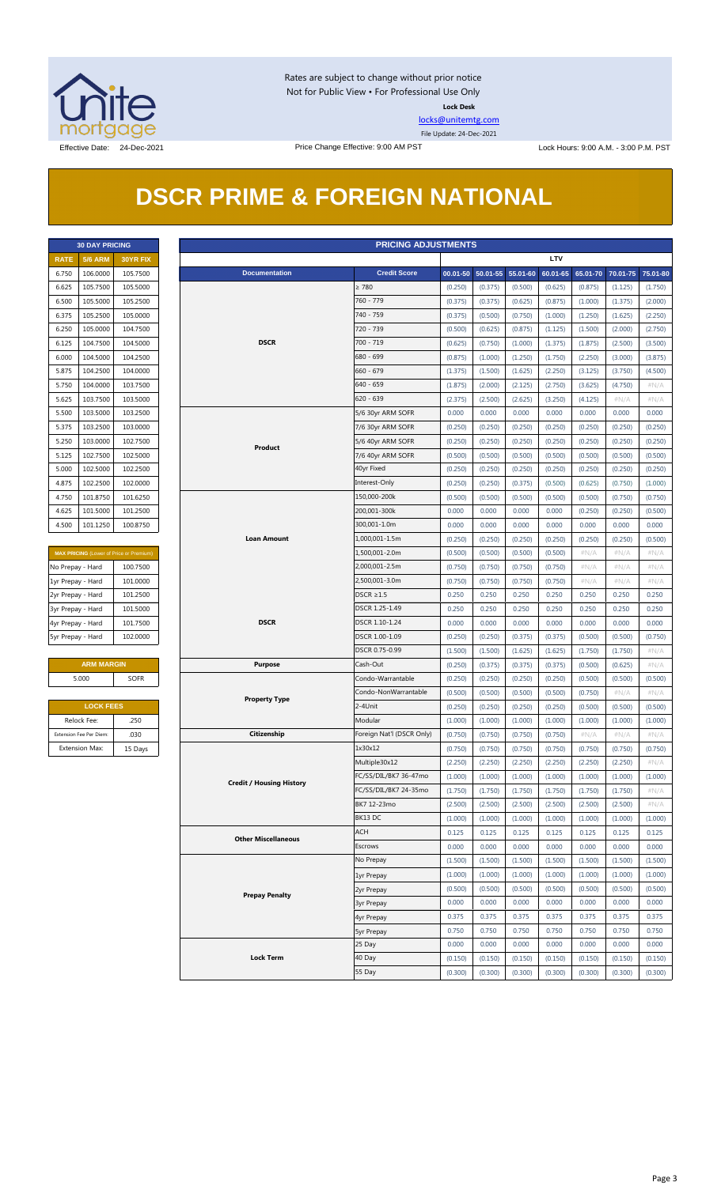

Rates are subject to change without prior notice Not for Public View • For Professional Use Only **Lock Desk**

[locks@unitemtg.com](mailto:locks@unitemtg.com)

File Update: 24-Dec-2021

## **DSCR PRIME & FOREIGN NATIONAL**

|             | <b>30 DAY PRICING</b> |          |
|-------------|-----------------------|----------|
| <b>RATE</b> | <b>5/6 ARM</b>        | 30YR FIX |
| 6.750       | 106.0000              | 105.7500 |
| 6.625       | 105.7500              | 105.5000 |
| 6.500       | 105.5000              | 105.2500 |
| 6.375       | 105.2500              | 105.0000 |
| 6.250       | 105.0000              | 104.7500 |
| 6.125       | 104.7500              | 104.5000 |
| 6.000       | 104.5000              | 104.2500 |
| 5.875       | 104.2500              | 104.0000 |
| 5.750       | 104.0000              | 103.7500 |
| 5.625       | 103.7500              | 103.5000 |
| 5.500       | 103.5000              | 103.2500 |
| 5.375       | 103.2500              | 103.0000 |
| 5.250       | 103.0000              | 102.7500 |
| 5.125       | 102.7500              | 102.5000 |
| 5.000       | 102.5000              | 102.2500 |
| 4.875       | 102.2500              | 102,0000 |
| 4.750       | 101.8750              | 101.6250 |
| 4.625       | 101.5000              | 101.2500 |
| 4.500       | 101.1250              | 100.8750 |

| <b>MAX PRICING</b> (Lower of Price or Premium) |          |  |  |  |  |  |  |  |  |
|------------------------------------------------|----------|--|--|--|--|--|--|--|--|
| No Prepay - Hard                               | 100.7500 |  |  |  |  |  |  |  |  |
| 1yr Prepay - Hard                              | 101.0000 |  |  |  |  |  |  |  |  |
| 2yr Prepay - Hard                              | 101.2500 |  |  |  |  |  |  |  |  |
| 3yr Prepay - Hard                              | 101.5000 |  |  |  |  |  |  |  |  |
| 4yr Prepay - Hard                              | 101.7500 |  |  |  |  |  |  |  |  |
| 5yr Prepay - Hard                              | 102,0000 |  |  |  |  |  |  |  |  |

| <b>ARM MARGIN</b> |             |  |  |  |  |  |  |
|-------------------|-------------|--|--|--|--|--|--|
| 5.000             | <b>SOFR</b> |  |  |  |  |  |  |
|                   |             |  |  |  |  |  |  |

| <b>LOCK FEES</b>        |         |  |  |  |  |  |  |
|-------------------------|---------|--|--|--|--|--|--|
| Relock Fee:             | .250    |  |  |  |  |  |  |
| Extension Fee Per Diem: | .030    |  |  |  |  |  |  |
| <b>Extension Max:</b>   | 15 Days |  |  |  |  |  |  |

|                         | <b>PRICING ADJUSTMENTS</b><br><b>30 DAY PRICING</b> |                                         |  |                                 |                                                |         |                            |         |            |         |                            |                    |
|-------------------------|-----------------------------------------------------|-----------------------------------------|--|---------------------------------|------------------------------------------------|---------|----------------------------|---------|------------|---------|----------------------------|--------------------|
| <b>RATE</b>             | <b>5/6 ARM</b>                                      | 30YR FIX                                |  |                                 |                                                |         |                            |         | <b>LTV</b> |         |                            |                    |
| 6.750                   | 106.0000                                            | 105.7500                                |  | <b>Documentation</b>            | <b>Credit Score</b>                            |         | 00.01-50 50.01-55 55.01-60 |         | 60.01-65   |         | 65.01-70 70.01-75 75.01-80 |                    |
| 6.625                   | 105.7500                                            | 105.5000                                |  |                                 | $\geq 780$                                     | (0.250) | (0.375)                    | (0.500) | (0.625)    | (0.875) | (1.125)                    | (1.750)            |
| 6.500                   | 105.5000                                            | 105.2500                                |  |                                 | 760 - 779                                      | (0.375) | (0.375)                    | (0.625) | (0.875)    | (1.000) | (1.375)                    | (2.000)            |
| 6.375                   | 105.2500                                            | 105.0000                                |  |                                 | 740 - 759                                      | (0.375) | (0.500)                    | (0.750) | (1.000)    | (1.250) | (1.625)                    | (2.250)            |
| 6.250                   | 105.0000                                            | 104.7500                                |  |                                 | 720 - 739                                      | (0.500) | (0.625)                    | (0.875) | (1.125)    | (1.500) | (2.000)                    | (2.750)            |
| 6.125                   | 104.7500                                            | 104.5000                                |  | <b>DSCR</b>                     | 700 - 719                                      | (0.625) | (0.750)                    | (1.000) | (1.375)    | (1.875) | (2.500)                    | (3.500)            |
| 6.000                   | 104.5000                                            | 104.2500                                |  |                                 | 680 - 699                                      | (0.875) | (1.000)                    | (1.250) | (1.750)    | (2.250) | (3.000)                    | (3.875)            |
| 5.875                   | 104.2500                                            | 104.0000                                |  |                                 | $660 - 679$                                    | (1.375) | (1.500)                    | (1.625) | (2.250)    | (3.125) | (3.750)                    | (4.500)            |
| 5.750                   | 104.0000                                            | 103.7500                                |  |                                 | 640 - 659                                      | (1.875) | (2.000)                    | (2.125) | (2.750)    | (3.625) | (4.750)                    | $\#N/A$            |
| 5.625                   | 103.7500                                            | 103.5000                                |  |                                 | $620 - 639$                                    | (2.375) | (2.500)                    | (2.625) | (3.250)    | (4.125) | # $N/A$                    | $\#N/A$            |
| 5.500                   | 103.5000                                            | 103.2500                                |  |                                 | 5/6 30yr ARM SOFR                              | 0.000   | 0.000                      | 0.000   | 0.000      | 0.000   | 0.000                      | 0.000              |
| 5.375                   | 103.2500                                            | 103.0000                                |  |                                 |                                                | (0.250) | (0.250)                    | (0.250) | (0.250)    | (0.250) | (0.250)                    | (0.250)            |
|                         |                                                     |                                         |  |                                 | 7/6 30yr ARM SOFR                              |         |                            |         |            |         |                            |                    |
| 5.250                   | 103.0000                                            | 102.7500                                |  | Product                         | 5/6 40yr ARM SOFR                              | (0.250) | (0.250)                    | (0.250) | (0.250)    | (0.250) | (0.250)                    | (0.250)            |
| 5.125                   | 102.7500                                            | 102.5000                                |  |                                 | 7/6 40yr ARM SOFR                              | (0.500) | (0.500)                    | (0.500) | (0.500)    | (0.500) | (0.500)                    | (0.500)            |
| 5.000                   | 102.5000                                            | 102.2500                                |  |                                 | 40yr Fixed                                     | (0.250) | (0.250)                    | (0.250) | (0.250)    | (0.250) | (0.250)                    | (0.250)            |
| 4.875                   | 102.2500                                            | 102.0000                                |  |                                 | Interest-Only                                  | (0.250) | (0.250)                    | (0.375) | (0.500)    | (0.625) | (0.750)                    | (1.000)            |
| 4.750                   | 101.8750                                            | 101.6250                                |  |                                 | 150,000-200k                                   | (0.500) | (0.500)                    | (0.500) | (0.500)    | (0.500) | (0.750)                    | (0.750)            |
| 4.625                   | 101.5000                                            | 101.2500                                |  |                                 | 200,001-300k                                   | 0.000   | 0.000                      | 0.000   | 0.000      | (0.250) | (0.250)                    | (0.500)            |
| 4.500                   | 101.1250                                            | 100.8750                                |  |                                 | 300,001-1.0m                                   | 0.000   | 0.000                      | 0.000   | 0.000      | 0.000   | 0.000                      | 0.000              |
|                         |                                                     |                                         |  | <b>Loan Amount</b>              | 1,000,001-1.5m                                 | (0.250) | (0.250)                    | (0.250) | (0.250)    | (0.250) | (0.250)                    | (0.500)            |
|                         |                                                     | MAX PRICING (Lower of Price or Premium) |  |                                 | 1,500,001-2.0m                                 | (0.500) | (0.500)                    | (0.500) | (0.500)    | $\#N/A$ | #N/A                       | $\#N/A$            |
| No Prepay - Hard        |                                                     | 100.7500                                |  |                                 | 2,000,001-2.5m                                 | (0.750) | (0.750)                    | (0.750) | (0.750)    | # $N/A$ | # $N/A$                    | $\#N/A$            |
| 1yr Prepay - Hard       |                                                     | 101.0000                                |  |                                 | 2,500,001-3.0m                                 | (0.750) | (0.750)                    | (0.750) | (0.750)    | # $N/A$ | # $N/A$                    | $\#N/A$            |
| 2yr Prepay - Hard       |                                                     | 101.2500                                |  |                                 | $DSCR \geq 1.5$                                | 0.250   | 0.250                      | 0.250   | 0.250      | 0.250   | 0.250                      | 0.250              |
| 3yr Prepay - Hard       |                                                     | 101.5000                                |  |                                 | DSCR 1.25-1.49                                 | 0.250   | 0.250                      | 0.250   | 0.250      | 0.250   | 0.250                      | 0.250              |
| 4yr Prepay - Hard       |                                                     | 101.7500                                |  | <b>DSCR</b>                     | DSCR 1.10-1.24                                 | 0.000   | 0.000                      | 0.000   | 0.000      | 0.000   | 0.000                      | 0.000              |
| 5yr Prepay - Hard       |                                                     | 102.0000                                |  |                                 | DSCR 1.00-1.09                                 | (0.250) | (0.250)                    | (0.375) | (0.375)    | (0.500) | (0.500)                    | (0.750)            |
|                         |                                                     |                                         |  |                                 | DSCR 0.75-0.99                                 | (1.500) | (1.500)                    | (1.625) | (1.625)    | (1.750) | (1.750)                    | #N/A               |
|                         | <b>ARM MARGIN</b>                                   |                                         |  | <b>Purpose</b>                  | Cash-Out                                       | (0.250) | (0.375)                    | (0.375) | (0.375)    | (0.500) | (0.625)                    | $\#N/A$            |
| 5.000                   |                                                     | <b>SOFR</b>                             |  |                                 | Condo-Warrantable                              | (0.250) | (0.250)                    | (0.250) | (0.250)    | (0.500) | (0.500)                    | (0.500)            |
|                         |                                                     |                                         |  |                                 | Condo-NonWarrantable                           | (0.500) | (0.500)                    | (0.500) | (0.500)    | (0.750) | #N/A                       | #N/A               |
|                         | <b>LOCK FEES</b>                                    |                                         |  | <b>Property Type</b>            | 2-4Unit                                        | (0.250) | (0.250)                    | (0.250) | (0.250)    | (0.500) | (0.500)                    | (0.500)            |
| Relock Fee:             |                                                     | .250                                    |  |                                 | Modular                                        | (1.000) | (1.000)                    | (1.000) | (1.000)    | (1.000) | (1.000)                    | (1.000)            |
| Extension Fee Per Diem: |                                                     | .030                                    |  | Citizenship                     | Foreign Nat'l (DSCR Only)                      | (0.750) | (0.750)                    | (0.750) | (0.750)    | $\#N/A$ | $\#N/A$                    | $\#N/A$            |
| <b>Extension Max:</b>   |                                                     | 15 Days                                 |  |                                 | 1x30x12                                        | (0.750) | (0.750)                    | (0.750) | (0.750)    | (0.750) | (0.750)                    | (0.750)            |
|                         |                                                     |                                         |  |                                 | Multiple30x12                                  | (2.250) | (2.250)                    | (2.250) | (2.250)    | (2.250) | (2.250)                    | $\#N/A$            |
|                         |                                                     |                                         |  |                                 |                                                |         |                            |         |            |         |                            |                    |
|                         |                                                     |                                         |  | <b>Credit / Housing History</b> | FC/SS/DIL/BK7 36-47mo<br>FC/SS/DIL/BK7 24-35mo | (1.000) | (1.000)                    | (1.000) | (1.000)    | (1.000) | (1.000)                    | (1.000)<br>$\#N/A$ |
|                         |                                                     |                                         |  |                                 |                                                | (1.750) | (1.750)                    | (1.750) | (1.750)    | (1.750) | (1.750)                    |                    |
|                         |                                                     |                                         |  |                                 | BK7 12-23mo                                    | (2.500) | (2.500)                    | (2.500) | (2.500)    | (2.500) | (2.500)                    | # $N/A$            |
|                         |                                                     |                                         |  |                                 | BK13 DC                                        | (1.000) | (1.000)                    | (1.000) | (1.000)    | (1.000) | (1.000)                    | (1.000)            |
|                         |                                                     |                                         |  | <b>Other Miscellaneous</b>      | <b>ACH</b>                                     | 0.125   | 0.125                      | 0.125   | 0.125      | 0.125   | 0.125                      | 0.125              |
|                         |                                                     |                                         |  |                                 | Escrows                                        | 0.000   | 0.000                      | 0.000   | 0.000      | 0.000   | 0.000                      | 0.000              |
|                         |                                                     |                                         |  |                                 | No Prepay                                      | (1.500) | (1.500)                    | (1.500) | (1.500)    | (1.500) | (1.500)                    | (1.500)            |
|                         |                                                     |                                         |  |                                 | 1yr Prepay                                     | (1.000) | (1.000)                    | (1.000) | (1.000)    | (1.000) | (1.000)                    | (1.000)            |
|                         |                                                     |                                         |  | <b>Prepay Penalty</b>           | 2yr Prepay                                     | (0.500) | (0.500)                    | (0.500) | (0.500)    | (0.500) | (0.500)                    | (0.500)            |
|                         |                                                     |                                         |  |                                 | <b>3yr Prepay</b>                              | 0.000   | 0.000                      | 0.000   | 0.000      | 0.000   | 0.000                      | 0.000              |
|                         |                                                     |                                         |  |                                 | 4yr Prepay                                     | 0.375   | 0.375                      | 0.375   | 0.375      | 0.375   | 0.375                      | 0.375              |
|                         |                                                     |                                         |  |                                 | <b>5yr Prepay</b>                              | 0.750   | 0.750                      | 0.750   | 0.750      | 0.750   | 0.750                      | 0.750              |
|                         |                                                     |                                         |  |                                 | 25 Day                                         | 0.000   | 0.000                      | 0.000   | 0.000      | 0.000   | 0.000                      | 0.000              |
|                         |                                                     |                                         |  | <b>Lock Term</b>                | 40 Day                                         | (0.150) | (0.150)                    | (0.150) | (0.150)    | (0.150) | (0.150)                    | (0.150)            |
|                         |                                                     |                                         |  |                                 | 55 Day                                         | (0.300) | (0.300)                    | (0.300) | (0.300)    | (0.300) | (0.300)                    | (0.300)            |
|                         |                                                     |                                         |  |                                 |                                                |         |                            |         |            |         |                            |                    |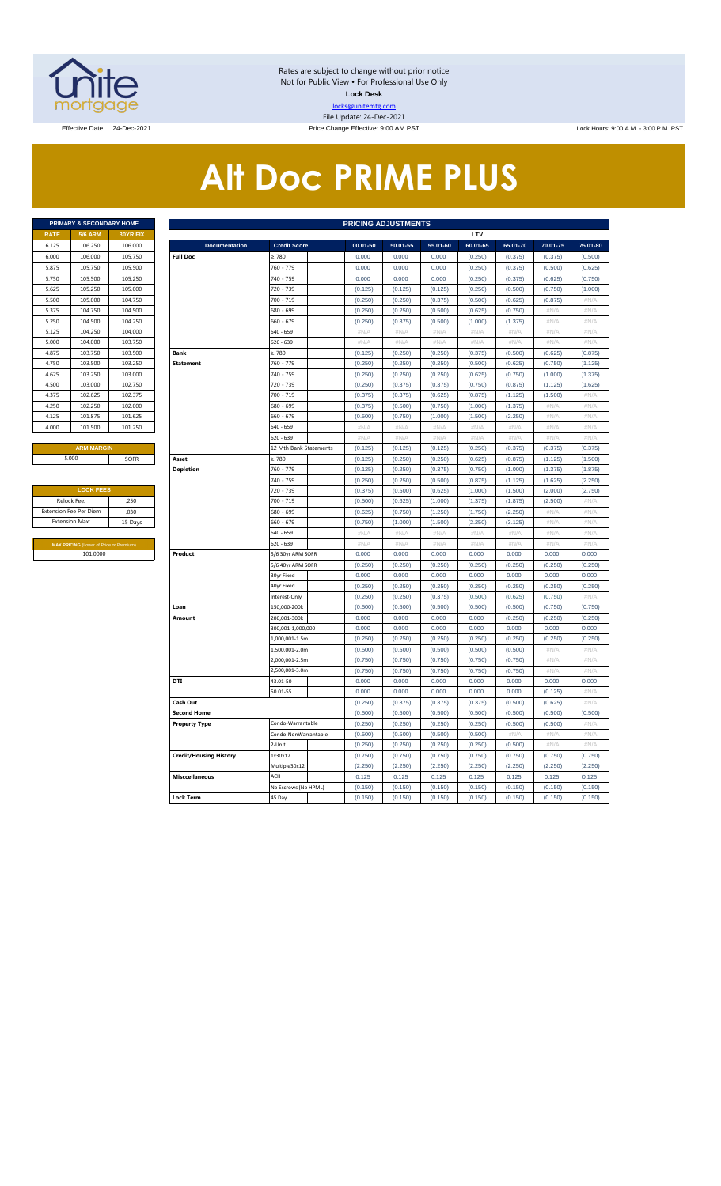

Rates are subject to change without prior notice Not for Public View • For Professional Use Only **Lock Desk** locks@unitemtg.com File Update: 24-Dec-2021

Effective Date: 24-Dec-2021 **Price Change Effective: 9:00 AM PST** Lock Hours: 9:00 A.M. - 3:00 P.M. PST

# **Alt Doc PRIME PLUS**

|             | <b>PRIMARY &amp; SECONDARY HOME</b> |                 |
|-------------|-------------------------------------|-----------------|
| <b>RATE</b> | <b>5/6 ARM</b>                      | <b>30YR FIX</b> |
| 6.125       | 106.250                             | 106,000         |
| 6.000       | 106,000                             | 105.750         |
| 5.875       | 105.750                             | 105.500         |
| 5.750       | 105.500                             | 105.250         |
| 5.625       | 105.250                             | 105.000         |
| 5.500       | 105,000                             | 104.750         |
| 5.375       | 104.750                             | 104.500         |
| 5.250       | 104.500                             | 104.250         |
| 5.125       | 104.250                             | 104.000         |
| 5.000       | 104.000                             | 103.750         |
| 4.875       | 103.750                             | 103.500         |
| 4.750       | 103.500                             | 103.250         |
| 4.625       | 103.250                             | 103.000         |
| 4.500       | 103.000                             | 102.750         |
| 4.375       | 102.625                             | 102.375         |
| 4.250       | 102.250                             | 102,000         |
| 4.125       | 101.875                             | 101.625         |
| 4.000       | 101.500                             | 101.250         |
|             |                                     |                 |

| <b>LOCK FEES</b>                               |         |  |  |  |  |  |  |  |  |
|------------------------------------------------|---------|--|--|--|--|--|--|--|--|
| Relock Fee:                                    | .250    |  |  |  |  |  |  |  |  |
| <b>Extension Fee Per Diem</b>                  | .030    |  |  |  |  |  |  |  |  |
| <b>Extension Max:</b>                          | 15 Days |  |  |  |  |  |  |  |  |
|                                                |         |  |  |  |  |  |  |  |  |
| <b>MAX PRICING (Lower of Price or Premium)</b> |         |  |  |  |  |  |  |  |  |
| 101.0000                                       |         |  |  |  |  |  |  |  |  |

|                     |                                                            | PRIMARY & SECONDARY HOME<br><b>PRICING ADJUSTMENTS</b> |                               |                                        |                  |                  |                  |                  |                  |                           |                  |  |
|---------------------|------------------------------------------------------------|--------------------------------------------------------|-------------------------------|----------------------------------------|------------------|------------------|------------------|------------------|------------------|---------------------------|------------------|--|
| <b>RATE</b>         | <b>5/6 ARM</b>                                             | 30YR FIX                                               |                               |                                        |                  |                  |                  | LTV              |                  |                           |                  |  |
| 6.125               | 106.250                                                    | 106.000                                                | <b>Documentation</b>          | <b>Credit Score</b>                    | 00.01-50         | 50.01-55         | 55.01-60         | 60.01-65         | 65.01-70         | 70.01-75                  | 75.01-80         |  |
| 6.000               | 106,000                                                    | 105.750                                                | <b>Full Doc</b>               | > 780                                  | 0.000            | 0.000            | 0.000            | (0.250)          | (0.375)          | (0.375)                   | (0.500)          |  |
| 5.875               | 105.750                                                    | 105.500                                                |                               | 760 - 779                              | 0.000            | 0.000            | 0.000            | (0.250)          | (0.375)          | (0.500)                   | (0.625)          |  |
| 5.750               | 105.500                                                    | 105.250                                                |                               | 740 - 759                              | 0.000            | 0.000            | 0.000            | (0.250)          | (0.375)          | (0.625)                   | (0.750)          |  |
| 5.625               | 105.250                                                    | 105.000                                                |                               | 720 - 739                              | (0.125)          | (0.125)          | (0.125)          | (0.250)          | (0.500)          | (0.750)                   | (1.000)          |  |
| 5.500               | 105,000                                                    | 104.750                                                |                               | 700 - 719                              | (0.250)          | (0.250)          | (0.375)          | (0.500)          | (0.625)          | (0.875)                   | #N/A             |  |
| 5.375               | 104.750                                                    | 104.500                                                |                               | 680 - 699                              | (0.250)          | (0.250)          | (0.500)          | (0.625)          | (0.750)          | #N/A                      | #N/A             |  |
| 5.250               | 104.500                                                    | 104.250                                                |                               | 660 - 679                              | (0.250)          | (0.375)          | (0.500)          | (1.000)          | (1.375)          | #N/A                      | #N/A             |  |
| 5.125               | 104.250                                                    | 104.000                                                |                               | 640 - 659                              | $\#N/A$          | $\#N/A$          | $\#N/A$          | #N/A             | $\#N/A$          | #N/A                      | #N/A             |  |
| 5.000               | 104.000                                                    | 103.750                                                |                               | 620 - 639                              | #N/A             | #N/A             | #N/A             | #N/A             | #N/A             | #N/A                      | #N/A             |  |
| 4.875               | 103.750                                                    | 103.500                                                | <b>Bank</b>                   | $\geq 780$                             | (0.125)          | (0.250)          | (0.250)          | (0.375)          | (0.500)          | (0.625)                   | (0.875)          |  |
| 4.750               | 103.500                                                    | 103.250                                                | <b>Statement</b>              | 760 - 779                              | (0.250)          | (0.250)          | (0.250)          | (0.500)          | (0.625)          | (0.750)                   | (1.125)          |  |
| 4.625               | 103.250                                                    | 103.000                                                |                               | 740 - 759                              | (0.250)          | (0.250)          | (0.250)          | (0.625)          | (0.750)          | (1.000)                   | (1.375)          |  |
| 4.500               | 103.000                                                    | 102.750                                                |                               | 720 - 739                              | (0.250)          | (0.375)          | (0.375)          | (0.750)          | (0.875)          | (1.125)                   | (1.625)          |  |
| 4.375               | 102.625                                                    | 102.375                                                |                               | 700 - 719                              | (0.375)          | (0.375)          | (0.625)          | (0.875)          | (1.125)          | (1.500)                   | $\#N/A$          |  |
| 4.250               | 102.250                                                    | 102.000                                                |                               | 680 - 699                              | (0.375)          | (0.500)          | (0.750)          | (1.000)          | (1.375)          | $\#N/A$                   | #N/A             |  |
| 4.125               | 101.875                                                    | 101.625                                                |                               | 660 - 679                              | (0.500)          | (0.750)          | (1.000)          | (1.500)          | (2.250)          | $\#\mathbb{N}/\mathbb{A}$ | $\#N/A$          |  |
| 4.000               | 101.500                                                    | 101.250                                                |                               | 640 - 659                              | #N/A             | #N/A             | #N/A             | #N/A             | $\#N/A$          | #N/A                      | #N/A             |  |
|                     |                                                            |                                                        |                               | 620 - 639                              | $\#N/A$          | #N/A             | $\#N/A$          | #N/A             | $\#N/A$          | #N/A                      | #N/A             |  |
|                     | <b>ARM MARGIN</b>                                          |                                                        |                               | 12 Mth Bank Statements                 | (0.125)          | (0.125)          | (0.125)          | (0.250)          | (0.375)          | (0.375)                   | (0.375)          |  |
|                     | 5.000                                                      | SOFR                                                   | Asset                         | $\geq 780$                             | (0.125)          | (0.250)          | (0.250)          | (0.625)          | (0.875)          | (1.125)                   | (1.500)          |  |
|                     |                                                            |                                                        | <b>Depletion</b>              | 760 - 779                              | (0.125)          | (0.250)          | (0.375)          | (0.750)          | (1.000)          | (1.375)                   | (1.875)          |  |
|                     |                                                            |                                                        |                               | 740 - 759                              | (0.250)          | (0.250)          | (0.500)          | (0.875)          | (1.125)          | (1.625)                   | (2.250)          |  |
| <b>LOCK FEES</b>    |                                                            |                                                        |                               | 720 - 739                              | (0.375)          | (0.500)          | (0.625)          | (1.000)          | (1.500)          | (2.000)                   | (2.750)          |  |
| Relock Fee:<br>.250 |                                                            |                                                        |                               | 700 - 719                              | (0.500)          | (0.625)          | (1.000)          | (1.375)          | (1.875)          | (2.500)                   | #N/A             |  |
|                     | xtension Fee Per Diem                                      | .030                                                   |                               | 680 - 699                              | (0.625)          | (0.750)          | (1.250)          | (1.750)          | (2.250)          | # $N/A$                   | # $N/A$          |  |
|                     | Extension Max:                                             | 15 Days                                                |                               | 660 - 679                              | (0.750)          | (1.000)          | (1.500)          | (2.250)          | (3.125)          | #N/A                      | $\#N/\beta$      |  |
|                     |                                                            |                                                        |                               | 640 - 659                              | #N/A             | #N/A             | #N/A             | #N/A             | $\#N/A$          | #N/A                      | #N/A             |  |
|                     | <b>MAX PRICING</b> (Lower of Price or Premium)<br>101.0000 |                                                        |                               | 620 - 639                              | #N/A             | #N/A             | #N/A             | #N/A             | #N/A             | #N/A                      | #N/A             |  |
|                     |                                                            |                                                        | Product                       | 5/6 30yr ARM SOFR<br>5/6 40yr ARM SOFR | 0.000<br>(0.250) | 0.000<br>(0.250) | 0.000<br>(0.250) | 0.000<br>(0.250) | 0.000<br>(0.250) | 0.000<br>(0.250)          | 0.000<br>(0.250) |  |
|                     |                                                            |                                                        |                               | 30yr Fixed                             | 0.000            | 0.000            | 0.000            | 0.000            | 0.000            | 0.000                     | 0.000            |  |
|                     |                                                            |                                                        |                               | 40yr Fixed                             | (0.250)          | (0.250)          | (0.250)          | (0.250)          | (0.250)          | (0.250)                   | (0.250)          |  |
|                     |                                                            |                                                        |                               | Interest-Only                          | (0.250)          | (0.250)          | (0.375)          | (0.500)          | (0.625)          | (0.750)                   | #N/A             |  |
|                     |                                                            |                                                        | Loan                          | 150,000-200k                           | (0.500)          | (0.500)          | (0.500)          | (0.500)          | (0.500)          | (0.750)                   | (0.750)          |  |
|                     |                                                            |                                                        | Amount                        | 200,001-300k                           | 0.000            | 0.000            | 0.000            | 0.000            | (0.250)          | (0.250)                   | (0.250)          |  |
|                     |                                                            |                                                        |                               | 300,001-1,000,000                      | 0.000            | 0.000            | 0.000            | 0.000            | 0.000            | 0.000                     | 0.000            |  |
|                     |                                                            |                                                        |                               | 1,000,001-1.5m                         | (0.250)          | (0.250)          | (0.250)          | (0.250)          | (0.250)          | (0.250)                   | (0.250)          |  |
|                     |                                                            |                                                        |                               | 1,500,001-2.0m                         | (0.500)          | (0.500)          | (0.500)          | (0.500)          | (0.500)          | $\#\mathsf{N}/\mathsf{A}$ | # $N/A$          |  |
|                     |                                                            |                                                        |                               | 2,000,001-2.5m                         | (0.750)          | (0.750)          | (0.750)          | (0.750)          | (0.750)          | #N/A                      | #N/A             |  |
|                     |                                                            |                                                        |                               | 2,500,001-3.0m                         | (0.750)          | (0.750)          | (0.750)          | (0.750)          | (0.750)          | #N/A                      | $\#N/A$          |  |
|                     |                                                            |                                                        | DTI                           | 43.01-50                               | 0.000            | 0.000            | 0.000            | 0.000            | 0.000            | 0.000                     | 0.000            |  |
|                     |                                                            |                                                        |                               | 50.01-55                               | 0.000            | 0.000            | 0.000            | 0.000            | 0.000            | (0.125)                   | #N/A             |  |
|                     |                                                            |                                                        | Cash Out                      |                                        | (0.250)          | (0.375)          | (0.375)          | (0.375)          | (0.500)          | (0.625)                   | #N/A             |  |
|                     |                                                            |                                                        | <b>Second Home</b>            |                                        | (0.500)          | (0.500)          | (0.500)          | (0.500)          | (0.500)          | (0.500)                   | (0.500)          |  |
|                     |                                                            |                                                        | <b>Property Type</b>          | Condo-Warrantable                      | (0.250)          | (0.250)          | (0.250)          | (0.250)          | (0.500)          | (0.500)                   | #N//             |  |
|                     |                                                            |                                                        |                               | Condo-NonWarrantable                   | (0.500)          | (0.500)          | (0.500)          | (0.500)          | $\#N/A$          | #N/A                      | #N/A             |  |
|                     |                                                            |                                                        |                               | $2-$ Unit                              | (0.250)          | (0.250)          | (0.250)          | (0.250)          | (0.500)          | #N/A                      | $\#N/\beta$      |  |
|                     |                                                            |                                                        | <b>Credit/Housing History</b> | 1x30x12                                | (0.750)          | (0.750)          | (0.750)          | (0.750)          | (0.750)          | (0.750)                   | (0.750)          |  |
|                     |                                                            |                                                        |                               | Multiple30x12                          | (2.250)          | (2.250)          | (2.250)          | (2.250)          | (2.250)          | (2.250)                   | (2.250)          |  |
|                     |                                                            |                                                        | <b>Misccellaneous</b>         | ACH                                    | 0.125            | 0.125            | 0.125            | 0.125            | 0.125            | 0.125                     | 0.125            |  |
|                     |                                                            |                                                        |                               | No Escrows (No HPML)                   | (0.150)          | (0.150)          | (0.150)          | (0.150)          | (0.150)          | (0.150)                   | (0.150)          |  |
|                     |                                                            |                                                        | <b>Lock Term</b>              | 45 Day                                 | (0.150)          | (0.150)          | (0.150)          | (0.150)          | (0.150)          | (0.150)                   | (0.150)          |  |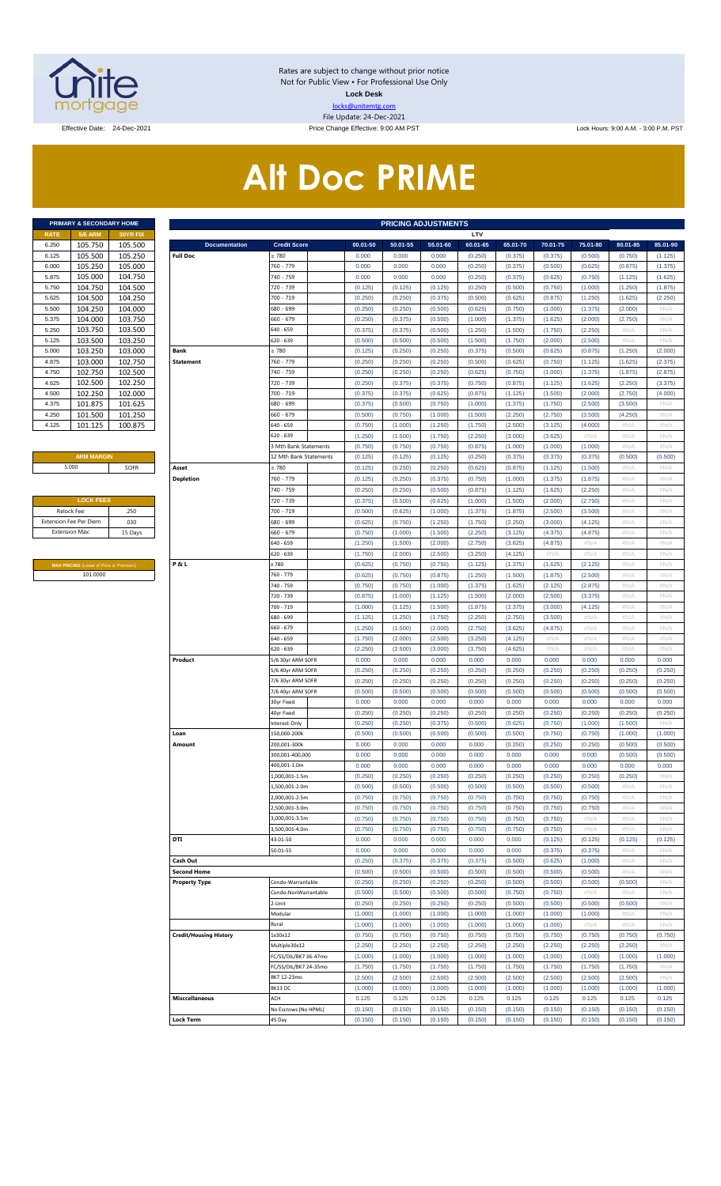

Rates are subject to change without prior notice Not for Public View • For Professional Use Only **Lock Desk** locks@unitemtg.com File Update: 24-Dec-2021

Effective Date: 24-Dec-2021 **Price Change Effective: 9:00 AM PST** Lock Hours: 9:00 A.M. - 3:00 P.M. PST

# **Alt Doc PRIME**

|             | <b>PRIMARY &amp; SECONDARY HOME</b> |                 |
|-------------|-------------------------------------|-----------------|
| <b>RATE</b> | <b>5/6 ARM</b>                      | <b>30YR FIX</b> |
| 6.250       | 105.750                             | 105.500         |
| 6.125       | 105.500                             | 105.250         |
| 6.000       | 105.250                             | 105.000         |
| 5.875       | 105.000                             | 104.750         |
| 5.750       | 104.750                             | 104.500         |
| 5.625       | 104.500                             | 104.250         |
| 5.500       | 104.250                             | 104.000         |
| 5.375       | 104.000                             | 103.750         |
| 5.250       | 103.750                             | 103.500         |
| 5.125       | 103.500                             | 103.250         |
| 5.000       | 103.250                             | 103.000         |
| 4.875       | 103.000                             | 102.750         |
| 4.750       | 102.750                             | 102.500         |
| 4.625       | 102.500                             | 102.250         |
| 4.500       | 102.250                             | 102.000         |
| 4.375       | 101.875                             | 101.625         |
| 4.250       | 101.500                             | 101.250         |
| 4.125       | 101.125                             | 100.875         |

#### **ARM MARGIN** 5.000

| <b>LOCK FEES</b>              |         |
|-------------------------------|---------|
| Relock Fee:                   | .250    |
| <b>Extension Fee Per Diem</b> | .030    |
| <b>Extension Max:</b>         | 15 Days |
|                               |         |

**MAX PRICING** (Lower of Price or Premium) 101.0000

| PRIMARY & SECONDARY HOME                            |          |                               |                            |          | <b>PRICING ADJUSTMENTS</b> |          |          |          |          |          |          |          |
|-----------------------------------------------------|----------|-------------------------------|----------------------------|----------|----------------------------|----------|----------|----------|----------|----------|----------|----------|
| RATE<br><b>5/6 ARM</b>                              | 30YR FIX |                               |                            |          |                            |          | LTV      |          |          |          |          |          |
| 105.750<br>6.250                                    | 105.500  | <b>Documentation</b>          | <b>Credit Score</b>        | 00.01-50 | 50.01-55                   | 55.01-60 | 60.01-65 | 65.01-70 | 70.01-75 | 75.01-80 | 80.01-85 | 85.01-90 |
| 105.500<br>6.125                                    | 105.250  | <b>Full Doc</b>               | 2780                       | 0.000    | 0.000                      | 0.000    | (0.250)  | (0.375)  | (0.375)  | (0.500)  | (0.750)  | (1.125)  |
| 105.250<br>6.000                                    | 105.000  |                               | 760 - 779                  | 0.000    | 0.000                      | 0.000    | (0.250)  | (0.375)  | (0.500)  | (0.625)  | (0.875)  | (1.375)  |
| 105.000<br>5.875                                    | 104.750  |                               | 740 - 759                  | 0.000    | 0.000                      | 0.000    | (0.250)  | (0.375)  | (0.625)  | (0.750)  | (1.125)  | (1.625)  |
| 104.750<br>5.750                                    | 104.500  |                               | 720 - 739                  | (0.125)  | (0.125)                    | (0.125)  | (0.250)  | (0.500)  | (0.750)  | (1.000)  | (1.250)  | (1.875)  |
| 104.500<br>5.625                                    | 104.250  |                               | 700 - 719                  | (0.250)  | (0.250)                    | (0.375)  | (0.500)  | (0.625)  | (0.875)  | (1.250)  | (1.625)  | (2.250)  |
| 104.250<br>5.500                                    | 104.000  |                               | 680 - 699                  | (0.250)  | (0.250)                    | (0.500)  | (0.625)  | (0.750)  | (1.000)  | (1.375)  | (2.000)  | #N/A     |
| 104.000<br>5.375                                    | 103.750  |                               | 660 - 679                  | (0.250)  | (0.375)                    | (0.500)  | (1.000)  | (1.375)  | (1.625)  | (2.000)  | (2.750)  | #N/A     |
|                                                     |          |                               |                            |          |                            |          |          |          |          |          |          |          |
| 103.750<br>5.250                                    | 103.500  |                               | 640 - 659                  | (0.375)  | (0.375)                    | (0.500)  | (1.250)  | (1.500)  | (1.750)  | (2.250)  | #N/A     | #N/A     |
| 103.500<br>5.125                                    | 103.250  |                               | 520 - 639                  | (0.500)  | (0.500)                    | (0.500)  | (1.500)  | (1.750)  | (2.000)  | (2.500)  | #N/A     | #N/A     |
| 103.250<br>5.000                                    | 103.000  | Bank                          | 2780                       | (0.125)  | (0.250)                    | (0.250)  | (0.375)  | (0.500)  | (0.625)  | (0.875)  | (1.250)  | (2.000)  |
| 103.000<br>4.875                                    | 102.750  | <b>Statement</b>              | 760 - 779                  | (0.250)  | (0.250)                    | (0.250)  | (0.500)  | (0.625)  | (0.750)  | (1.125)  | (1.625)  | (2.375)  |
| 102.750<br>4.750                                    | 102.500  |                               | 740 - 759                  | (0.250)  | (0.250)                    | (0.250)  | (0.625)  | (0.750)  | (1.000)  | (1.375)  | (1.875)  | (2.875)  |
| 102.500<br>4.625                                    | 102.250  |                               | 720 - 739                  | (0.250)  | (0.375)                    | (0.375)  | (0.750)  | (0.875)  | (1.125)  | (1.625)  | (2.250)  | (3.375)  |
| 102.250<br>4.500                                    | 102.000  |                               | 700 - 719                  | (0.375)  | (0.375)                    | (0.625)  | (0.875)  | (1.125)  | (1.500)  | (2.000)  | (2.750)  | (4.000)  |
| 101.875<br>4.375                                    | 101.625  |                               | 680 - 699                  | (0.375)  | (0.500)                    | (0.750)  | (1.000)  | (1.375)  | (1.750)  | (2.500)  | (3.500)  | #N/A     |
| 4.250                                               |          |                               | 660 - 679                  |          |                            |          |          |          |          |          |          |          |
| 101.500                                             | 101.250  |                               |                            | (0.500)  | (0.750)                    | (1.000)  | (1.500)  | (2.250)  | (2.750)  | (3.500)  | (4.250)  | #N/A     |
| 101.125<br>4.125                                    | 100.875  |                               | 540 - 659                  | (0.750)  | (1.000)                    | (1.250)  | (1.750)  | (2.500)  | (3.125)  | (4.000)  | #N/A     | #N/A     |
|                                                     |          |                               | 620 - 639                  | (1.250)  | (1.500)                    | (1.750)  | (2.250)  | (3.000)  | (3.625)  | #N/A     | #N/A     | #N/A     |
|                                                     |          |                               | <b>Mth Bank Statements</b> | (0.750)  | (0.750)                    | (0.750)  | (0.875)  | (1.000)  | (1.000)  | (1.000)  | #N/A     | #N/A     |
| <b>ARM MARGIN</b>                                   |          |                               | 12 Mth Bank Statements     | (0.125)  | (0.125)                    | (0.125)  | (0.250)  | (0.375)  | (0.375)  | (0.375)  | (0.500)  | (0.500)  |
| 5.000                                               | SOFR     | Asset                         | 2780                       | (0.125)  | (0.250)                    | (0.250)  | (0.625)  | (0.875)  | (1.125)  | (1.500)  | #N/A     | #N/A     |
|                                                     |          | <b>Depletion</b>              | 760 - 779                  | (0.125)  | (0.250)                    | (0.375)  | (0.750)  | (1.000)  | (1.375)  | (1.875)  | #N/A     | #N/A     |
|                                                     |          |                               |                            |          |                            |          |          |          |          |          |          |          |
|                                                     |          |                               | 740 - 759                  | (0.250)  | (0.250)                    | (0.500)  | (0.875)  | (1.125)  | (1.625)  | (2.250)  | #N/A     | #N/A     |
| <b>LOCK FEES</b>                                    |          |                               | 720 - 739                  | (0.375)  | (0.500)                    | (0.625)  | (1.000)  | (1.500)  | (2.000)  | (2.750)  | #N/A     | #N/A     |
| Relock Fee:                                         | .250     |                               | 700 - 719                  | (0.500)  | (0.625)                    | (1.000)  | (1.375)  | (1.875)  | (2.500)  | (3.500)  | #N/A     | #N/A     |
| xtension Fee Per Diem                               | .030     |                               | 680 - 699                  | (0.625)  | (0.750)                    | (1.250)  | (1.750)  | (2.250)  | (3.000)  | (4.125)  | #N/A     | #N/A     |
| <b>Extension Max:</b>                               | 15 Days  |                               | 660 - 679                  | (0.750)  | (1.000)                    | (1.500)  | (2.250)  | (3.125)  | (4.375)  | (4.875)  | #N/A     | #N/A     |
|                                                     |          |                               | 640 - 659                  | (1.250)  | (1.500)                    | (2.000)  | (2.750)  | (3.625)  | (4.875)  | #N/A     | #N/A     | #N/A     |
|                                                     |          |                               | 620 - 639                  | (1.750)  | (2.000)                    | (2.500)  | (3.250)  | (4.125)  | #N/A     | #N/A     | #N/A     | #N/A     |
|                                                     |          | P&L                           | 2780                       | (0.625)  | (0.750)                    | (0.750)  | (1.125)  | (1.375)  | (1.625)  | (2.125)  | #N/A     | #N/A     |
| MAX PRICING (Lower of Price or Premium)<br>101.0000 |          |                               | 760 - 779                  | (0.625)  | (0.750)                    | (0.875)  | (1.250)  | (1.500)  | (1.875)  | (2.500)  | #N/A     | #N/A     |
|                                                     |          |                               |                            |          |                            |          |          |          |          |          |          |          |
|                                                     |          |                               | 740 - 759                  | (0.750)  | (0.750)                    | (1.000)  | (1.375)  | (1.625)  | (2.125)  | (2.875)  | #N/A     | #N/A     |
|                                                     |          |                               | 720 - 739                  | (0.875)  | (1.000)                    | (1.125)  | (1.500)  | (2.000)  | (2.500)  | (3.375)  | #N/A     | #N/A     |
|                                                     |          |                               | 700 - 719                  | (1.000)  | (1.125)                    | (1.500)  | (1.875)  | (2.375)  | (3.000)  | (4.125)  | #N/A     | #N/A     |
|                                                     |          |                               | 680 - 699                  | (1.125)  | (1.250)                    | (1.750)  | (2.250)  | (2.750)  | (3.500)  | #N/A     | #N/A     | #N/A     |
|                                                     |          |                               | $660 - 679$                | (1.250)  | (1.500)                    | (2.000)  | (2.750)  | (3.625)  | (4.875)  | #N/A     | #N/A     | #N/A     |
|                                                     |          |                               | 640 - 659                  | (1.750)  | (2.000)                    | (2.500)  | (3.250)  | (4.125)  | #N/A     | #N/A     | #N/A     | #N/A     |
|                                                     |          |                               | 620 - 639                  | (2.250)  | (2.500)                    | (3.000)  | (3.750)  | (4.625)  | #N/A     | #N/A     | #N/A     | #N/A     |
|                                                     |          | Product                       | 5/6 30yr ARM SOFR          | 0.000    | 0.000                      | 0.000    | 0.000    | 0.000    | 0.000    | 0.000    | 0.000    | 0.000    |
|                                                     |          |                               | 5/6 40yr ARM SOFR          | (0.250)  | (0.250)                    | (0.250)  | (0.250)  | (0.250)  | (0.250)  | (0.250)  | (0.250)  | (0.250)  |
|                                                     |          |                               |                            |          |                            |          |          |          |          |          |          |          |
|                                                     |          |                               | 7/6 30yr ARM SOFR          | (0.250)  | (0.250)                    | (0.250)  | (0.250)  | (0.250)  | (0.250)  | (0.250)  | (0.250)  | (0.250)  |
|                                                     |          |                               | 7/6 40yr ARM SOFR          | (0.500)  | (0.500)                    | (0.500)  | (0.500)  | (0.500)  | (0.500)  | (0.500)  | (0.500)  | (0.500)  |
|                                                     |          |                               | 30yr Fixed                 | 0.000    | 0.000                      | 0.000    | 0.000    | 0.000    | 0.000    | 0.000    | 0.000    | 0.000    |
|                                                     |          |                               | 40yr Fixed                 | (0.250)  | (0.250)                    | (0.250)  | (0.250)  | (0.250)  | (0.250)  | (0.250)  | (0.250)  | (0.250)  |
|                                                     |          |                               | nterest-Only               | (0.250)  | (0.250)                    | (0.375)  | (0.500)  | (0.625)  | (0.750)  | (1.000)  | (1.500)  | #N/A     |
|                                                     |          | Loan                          | 150,000-200k               | (0.500)  | (0.500)                    | (0.500)  | (0.500)  | (0.500)  | (0.750)  | (0.750)  | (1.000)  | (1.000)  |
|                                                     |          | Amount                        | 200,001-300k               | 0.000    | 0.000                      | 0.000    | 0.000    | (0.250)  | (0.250)  | (0.250)  | (0.500)  | (0.500)  |
|                                                     |          |                               | 300,001-400,000            | 0.000    | 0.000                      | 0.000    | 0.000    | 0.000    | 0.000    | 0.000    | (0.500)  | (0.500)  |
|                                                     |          |                               |                            |          |                            |          |          |          |          |          |          | 0.000    |
|                                                     |          |                               | 400,001-1.0m               | 0.000    | 0.000                      | 0.000    | 0.000    | 0.000    | 0.000    | 0.000    | 0.000    |          |
|                                                     |          |                               | .,000,001-1.5m             | (0.250)  | (0.250)                    | (0.250)  | (0.250)  | (0.250)  | (0.250)  | (0.250)  | (0.250)  | #N/A     |
|                                                     |          |                               | ,500,001-2.0m              | (0.500)  | (0.500)                    | (0.500)  | (0.500)  | (0.500)  | (0.500)  | (0.500)  | #N/A     | #N/A     |
|                                                     |          |                               | 2,000,001-2.5m             | (0.750)  | (0.750)                    | (0.750)  | (0.750)  | (0.750)  | (0.750)  | (0.750)  | #N/A     | #N/A     |
|                                                     |          |                               | ,500,001-3.0m              | (0.750)  | (0.750)                    | (0.750)  | (0.750)  | (0.750)  | (0.750)  | (0.750)  | #N/A     | #N/A     |
|                                                     |          |                               | 3,000,001-3.5m             | (0.750)  | (0.750)                    | (0.750)  | (0.750)  | (0.750)  | (0.750)  | $\#N/A$  | #N/A     | #N/A     |
|                                                     |          |                               | ,500,001-4.0m              | (0.750)  | (0.750)                    | (0.750)  | (0.750)  | (0.750)  | (0.750)  | #N/A     | #N/A     | #N/A     |
|                                                     |          | DTI                           | 43.01-50                   | 0.000    | 0.000                      | 0.000    | 0.000    | 0.000    | (0.125)  | (0.125)  | (0.125)  | (0.125)  |
|                                                     |          |                               | 50.01-55                   | 0.000    | 0.000                      | 0.000    | 0.000    | 0.000    | (0.375)  | (0.375)  | #N/A     | #N/A     |
|                                                     |          | Cash Out                      |                            | (0.250)  | (0.375)                    | (0.375)  | (0.375)  | (0.500)  | (0.625)  | (1.000)  | #N/A     | #N/A     |
|                                                     |          |                               |                            |          |                            |          |          |          |          |          |          |          |
|                                                     |          | <b>Second Home</b>            |                            | (0.500)  | (0.500)                    | (0.500)  | (0.500)  | (0.500)  | (0.500)  | (0.500)  | #N/A     | #N/A     |
|                                                     |          | <b>Property Type</b>          | Condo-Warrantable          | (0.250)  | (0.250)                    | (0.250)  | (0.250)  | (0.500)  | (0.500)  | (0.500)  | (0.500)  | #N/A     |
|                                                     |          |                               | Condo-NonWarrantable       | (0.500)  | (0.500)                    | (0.500)  | (0.500)  | (0.750)  | (0.750)  | #N/A     | #N/A     | #N/A     |
|                                                     |          |                               | 2-Unit                     | (0.250)  | (0.250)                    | (0.250)  | (0.250)  | (0.500)  | (0.500)  | (0.500)  | (0.500)  | #N/A     |
|                                                     |          |                               | Modular                    | (1.000)  | (1.000)                    | (1.000)  | (1.000)  | (1.000)  | (1.000)  | (1.000)  | #N/A     | #N/A     |
|                                                     |          |                               | Rural                      | (1.000)  | (1.000)                    | (1.000)  | (1.000)  | (1.000)  | (1.000)  | #N/A     | #N/A     | #N/A     |
|                                                     |          | <b>Credit/Housing History</b> | 1x30x12                    | (0.750)  | (0.750)                    | (0.750)  | (0.750)  | (0.750)  | (0.750)  | (0.750)  | (0.750)  | (0.750)  |
|                                                     |          |                               | Multiple30x12              | (2.250)  | (2.250)                    | (2.250)  | (2.250)  | (2.250)  | (2.250)  | (2.250)  | (2.250)  | #N/A     |
|                                                     |          |                               |                            |          |                            |          |          |          |          |          |          |          |
|                                                     |          |                               | FC/SS/DIL/BK7 36-47mo      | (1.000)  | (1.000)                    | (1.000)  | (1.000)  | (1.000)  | (1.000)  | (1.000)  | (1.000)  | (1.000)  |
|                                                     |          |                               | FC/SS/DIL/BK7 24-35mo      | (1.750)  | (1.750)                    | (1.750)  | (1.750)  | (1.750)  | (1.750)  | (1.750)  | (1.750)  | #N/A     |
|                                                     |          |                               | BK7 12-23mo                | (2.500)  | (2.500)                    | (2.500)  | (2.500)  | (2.500)  | (2.500)  | (2.500)  | (2.500)  | #N/A     |
|                                                     |          |                               | BK13 DC                    | (1.000)  | (1.000)                    | (1.000)  | (1.000)  | (1.000)  | (1.000)  | (1.000)  | (1.000)  | (1.000)  |
|                                                     |          | <b>Misccellaneous</b>         | ACH                        | 0.125    | 0.125                      | 0.125    | 0.125    | 0.125    | 0.125    | 0.125    | 0.125    | 0.125    |
|                                                     |          |                               | No Escrows (No HPML)       | (0.150)  | (0.150)                    | (0.150)  | (0.150)  | (0.150)  | (0.150)  | (0.150)  | (0.150)  | (0.150)  |
|                                                     |          | <b>Lock Term</b>              | 45 Day                     | (0.150)  | (0.150)                    | (0.150)  | (0.150)  | (0.150)  | (0.150)  | (0.150)  | (0.150)  | (0.150)  |
|                                                     |          |                               |                            |          |                            |          |          |          |          |          |          |          |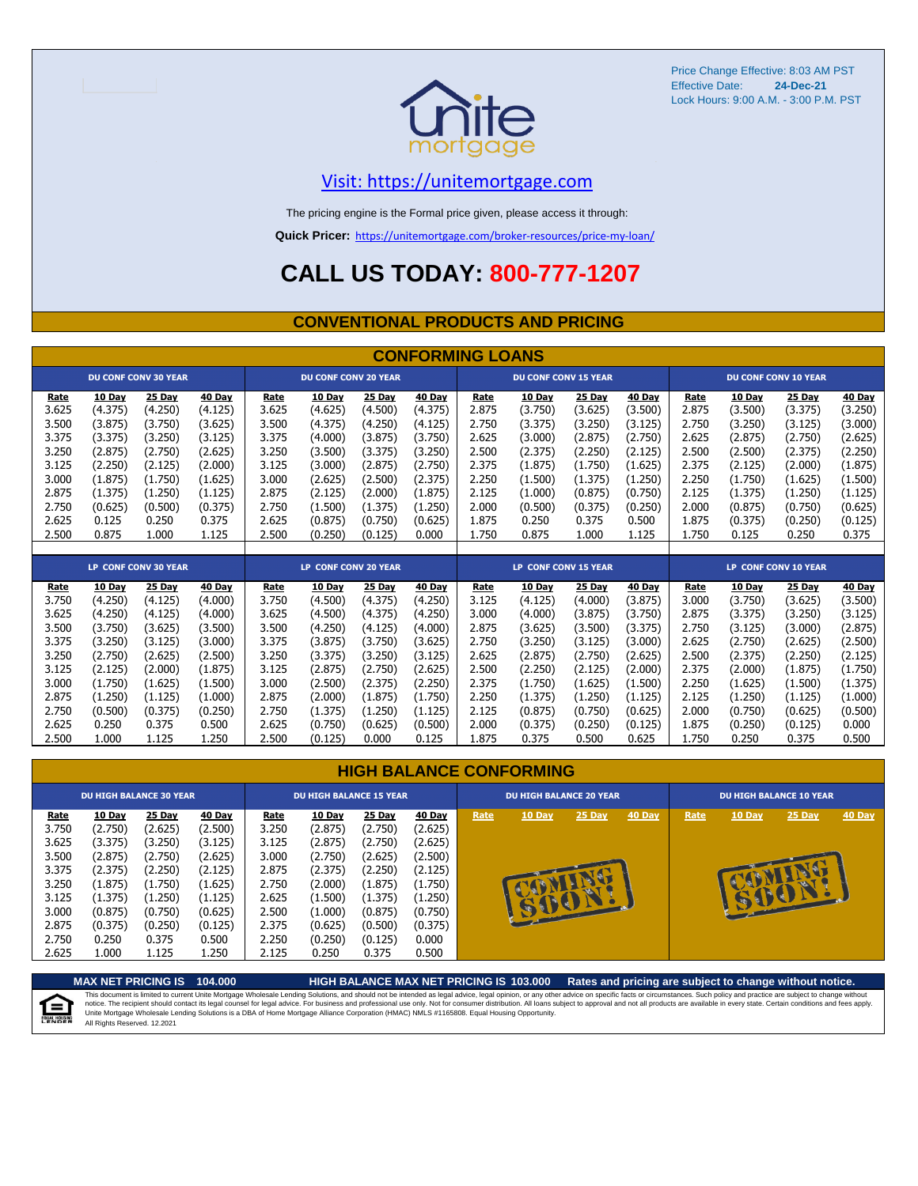

Price Change Effective: 8:03 AM PST Effective Date: Lock Hours: 9:00 A.M. - 3:00 P.M. PST **24-Dec-21**

#### [V](https://unitemortgage.com/)isit: https://unitemortgage.com

The pricing engine is the Formal price given, please access it through:

**Quick Pricer:** [https://un](https://unitemortgage.com/broker-resources/price-my-loan/)itemortgage.com/broker-resources/price-my-loan/

### **CALL US TODAY: 800-777-1207**

#### **CONVENTIONAL PRODUCTS AND PRICING**

|       | <b>CONFORMING LOANS</b> |                             |         |       |                             |               |               |                      |                             |         |               |                             |               |                             |               |
|-------|-------------------------|-----------------------------|---------|-------|-----------------------------|---------------|---------------|----------------------|-----------------------------|---------|---------------|-----------------------------|---------------|-----------------------------|---------------|
|       |                         | <b>DU CONF CONV 30 YEAR</b> |         |       | <b>DU CONF CONV 20 YEAR</b> |               |               |                      | <b>DU CONF CONV 15 YEAR</b> |         |               |                             |               | <b>DU CONF CONV 10 YEAR</b> |               |
| Rate  | 10 Day                  | 25 Day                      | 40 Day  | Rate  | 10 Day                      | 25 Day        | 40 Day        | Rate                 | 10 Day                      | 25 Day  | 40 Day        | Rate                        | <b>10 Day</b> | 25 Day                      | 40 Day        |
| 3.625 | (4.375)                 | (4.250)                     | (4.125) | 3.625 | (4.625)                     | (4.500)       | (4.375)       | 2.875                | (3.750)                     | (3.625) | (3.500)       | 2.875                       | (3.500)       | (3.375)                     | (3.250)       |
| 3.500 | (3.875)                 | (3.750)                     | (3.625) | 3.500 | (4.375)                     | (4.250)       | (4.125)       | 2.750                | (3.375)                     | (3.250) | (3.125)       | 2.750                       | (3.250)       | (3.125)                     | (3.000)       |
| 3.375 | (3.375)                 | (3.250)                     | (3.125) | 3.375 | (4.000)                     | (3.875)       | (3.750)       | 2.625                | (3.000)                     | (2.875) | (2.750)       | 2.625                       | (2.875)       | (2.750)                     | (2.625)       |
| 3.250 | (2.875)                 | (2.750)                     | (2.625) | 3.250 | (3.500)                     | (3.375)       | (3.250)       | 2.500                | (2.375)                     | (2.250) | (2.125)       | 2.500                       | (2.500)       | (2.375)                     | (2.250)       |
| 3.125 | (2.250)                 | (2.125)                     | (2.000) | 3.125 | (3.000)                     | (2.875)       | (2.750)       | 2.375                | (1.875)                     | (1.750) | (1.625)       | 2.375                       | (2.125)       | (2.000)                     | (1.875)       |
| 3.000 | (1.875)                 | (1.750)                     | (1.625) | 3.000 | (2.625)                     | (2.500)       | (2.375)       | 2.250                | (1.500)                     | (1.375) | (1.250)       | 2.250                       | (1.750)       | (1.625)                     | (1.500)       |
| 2.875 | (1.375)                 | (1.250)                     | (1.125) | 2.875 | (2.125)                     | (2.000)       | (1.875)       | 2.125                | (1.000)                     | (0.875) | (0.750)       | 2.125                       | (1.375)       | (1.250)                     | (1.125)       |
| 2.750 | (0.625)                 | (0.500)                     | (0.375) | 2.750 | (1.500)                     | (1.375)       | (1.250)       | 2.000                | (0.500)                     | (0.375) | (0.250)       | 2.000                       | (0.875)       | (0.750)                     | (0.625)       |
| 2.625 | 0.125                   | 0.250                       | 0.375   | 2.625 | (0.875)                     | (0.750)       | (0.625)       | 1.875                | 0.250                       | 0.375   | 0.500         | 1.875                       | (0.375)       | (0.250)                     | (0.125)       |
| 2.500 | 0.875                   | 1.000                       | 1.125   | 2.500 | (0.250)                     | (0.125)       | 0.000         | 1.750                | 0.875                       | 1.000   | 1.125         | 1.750                       | 0.125         | 0.250                       | 0.375         |
|       |                         |                             |         |       |                             |               |               |                      |                             |         |               |                             |               |                             |               |
|       |                         | <b>LP CONF CONV 30 YEAR</b> |         |       | <b>LP CONF CONV 20 YEAR</b> |               |               | LP CONF CONV 15 YEAR |                             |         |               | <b>LP CONF CONV 10 YEAR</b> |               |                             |               |
| Rate  | 10 Day                  | 25 Day                      | 40 Day  | Rate  | 10 Day                      | <b>25 Day</b> | <b>40 Day</b> | Rate                 | 10 Day                      | 25 Day  | <b>40 Day</b> | Rate                        | <b>10 Day</b> | <b>25 Day</b>               | <b>40 Day</b> |
| 3.750 | (4.250)                 | (4.125)                     | (4.000) | 3.750 | (4.500)                     | (4.375)       | (4.250)       | 3.125                | (4.125)                     | (4.000) | (3.875)       | 3.000                       | (3.750)       | (3.625)                     | (3.500)       |
| 3.625 | (4.250)                 | (4.125)                     | (4.000) | 3.625 | (4.500)                     | (4.375)       | (4.250)       | 3.000                | (4.000)                     | (3.875) | (3.750)       | 2.875                       | (3.375)       | (3.250)                     | (3.125)       |
| 3.500 | (3.750)                 | (3.625)                     | (3.500) | 3.500 | (4.250)                     | (4.125)       | (4.000)       | 2.875                | (3.625)                     | (3.500) | (3.375)       | 2.750                       | (3.125)       | (3.000)                     | (2.875)       |
| 3.375 | (3.250)                 | (3.125)                     | (3.000) | 3.375 | (3.875)                     | (3.750)       | (3.625)       | 2.750                | (3.250)                     | (3.125) | (3.000)       | 2.625                       | (2.750)       | (2.625)                     | (2.500)       |
| 3.250 | (2.750)                 | (2.625)                     | (2.500) | 3.250 | (3.375)                     | (3.250)       | (3.125)       | 2.625                | (2.875)                     | (2.750) | (2.625)       | 2.500                       | (2.375)       | (2.250)                     | (2.125)       |
| 3.125 | (2.125)                 | (2.000)                     | (1.875) | 3.125 | (2.875)                     | (2.750)       | (2.625)       | 2.500                | (2.250)                     | (2.125) | (2.000)       | 2.375                       | (2.000)       | (1.875)                     | (1.750)       |
| 3.000 | (1.750)                 | (1.625)                     | (1.500) | 3.000 | (2.500)                     | (2.375)       | (2.250)       | 2.375                | (1.750)                     | (1.625) | (1.500)       | 2.250                       | (1.625)       | (1.500)                     | (1.375)       |
| 2.875 | (1.250)                 | (1.125)                     | (1.000) | 2.875 | (2.000)                     | (1.875)       | (1.750)       | 2.250                | (1.375)                     | (1.250) | (1.125)       | 2.125                       | (1.250)       | (1.125)                     | (1.000)       |
| 2.750 | (0.500)                 | (0.375)                     | (0.250) | 2.750 | (1.375)                     | (1.250)       | (1.125)       | 2.125                | (0.875)                     | (0.750) | (0.625)       | 2.000                       | (0.750)       | (0.625)                     | (0.500)       |

| <b>HIGH BALANCE CONFORMING</b> |  |
|--------------------------------|--|
|                                |  |

2.625 0.250 0.375 0.500 2.625 (0.750) (0.625) (0.500) 2.000 (0.375) (0.250) (0.125) 1.875 (0.250) (0.125) 0.000 2.500 1.000 1.125 1.250 2.500 (0.125) 0.000 0.125 1.875 0.375 0.500 0.625 1.750 0.250 0.375 0.500

|             |               | <b>DU HIGH BALANCE 30 YEAR</b> |               | <b>DU HIGH BALANCE 15 YEAR</b> |               |               |               |      | <b>DU HIGH BALANCE 20 YEAR</b> |        |        | <b>DU HIGH BALANCE 10 YEAR</b> |          |          |               |  |
|-------------|---------------|--------------------------------|---------------|--------------------------------|---------------|---------------|---------------|------|--------------------------------|--------|--------|--------------------------------|----------|----------|---------------|--|
| <u>Rate</u> | <b>10 Day</b> | $25$ Day                       | <b>40 Day</b> | <b>Rate</b>                    | <b>10 Day</b> | <b>25 Day</b> | <b>40 Day</b> | Rate | 10 Day                         | 25 Day | 40 Day | Rate                           | $10$ Day | $25$ Day | <b>40 Day</b> |  |
| 3.750       | (2.750)       | (2.625)                        | (2.500)       | 3.250                          | (2.875)       | (2.750)       | (2.625)       |      |                                |        |        |                                |          |          |               |  |
| 3.625       | (3.375)       | (3.250)                        | (3.125)       | 3.125                          | (2.875)       | (2.750)       | (2.625)       |      |                                |        |        |                                |          |          |               |  |
| 3.500       | (2.875)       | (2.750)                        | (2.625)       | 3.000                          | (2.750)       | (2.625)       | (2.500)       |      |                                |        |        |                                |          |          |               |  |
| 3.375       | (2.375)       | (2.250)                        | (2.125)       | 2.875                          | (2.375)       | (2.250)       | (2.125)       |      |                                |        |        |                                |          |          |               |  |
| 3.250       | (1.875)       | (1.750)                        | (1.625)       | 2.750                          | (2.000)       | (1.875)       | (1.750)       |      |                                | æ      |        |                                |          |          |               |  |
| 3.125       | (1.375)       | (1.250)                        | (1.125)       | 2.625                          | (1.500)       | (1.375)       | (1.250)       |      |                                |        |        |                                |          |          |               |  |
| 3.000       | (0.875)       | (0.750)                        | (0.625)       | 2.500                          | (1.000)       | (0.875)       | (0.750)       |      |                                |        |        |                                |          |          |               |  |
| 2.875       | (0.375)       | (0.250)                        | (0.125)       | 2.375                          | (0.625)       | (0.500)       | (0.375)       |      |                                |        |        |                                |          |          |               |  |
| 2.750       | 0.250         | 0.375                          | 0.500         | 2.250                          | (0.250)       | (0.125)       | 0.000         |      |                                |        |        |                                |          |          |               |  |
| 2.625       | 1.000         | 1.125                          | 1.250         | 2.125                          | 0.250         | 0.375         | 0.500         |      |                                |        |        |                                |          |          |               |  |



**MAX NET PRICING IS 104.000 HIGH BALANCE MAX NET PRICING IS 103.000 Rates and pricing are subject to change without notice.** This document is limited to current Unite Mortgage Wholesale Lending Solutions, and should not be intended as legal advice, legal opinion, or any other advice on specific facts or circumstances. Such policy and practice ar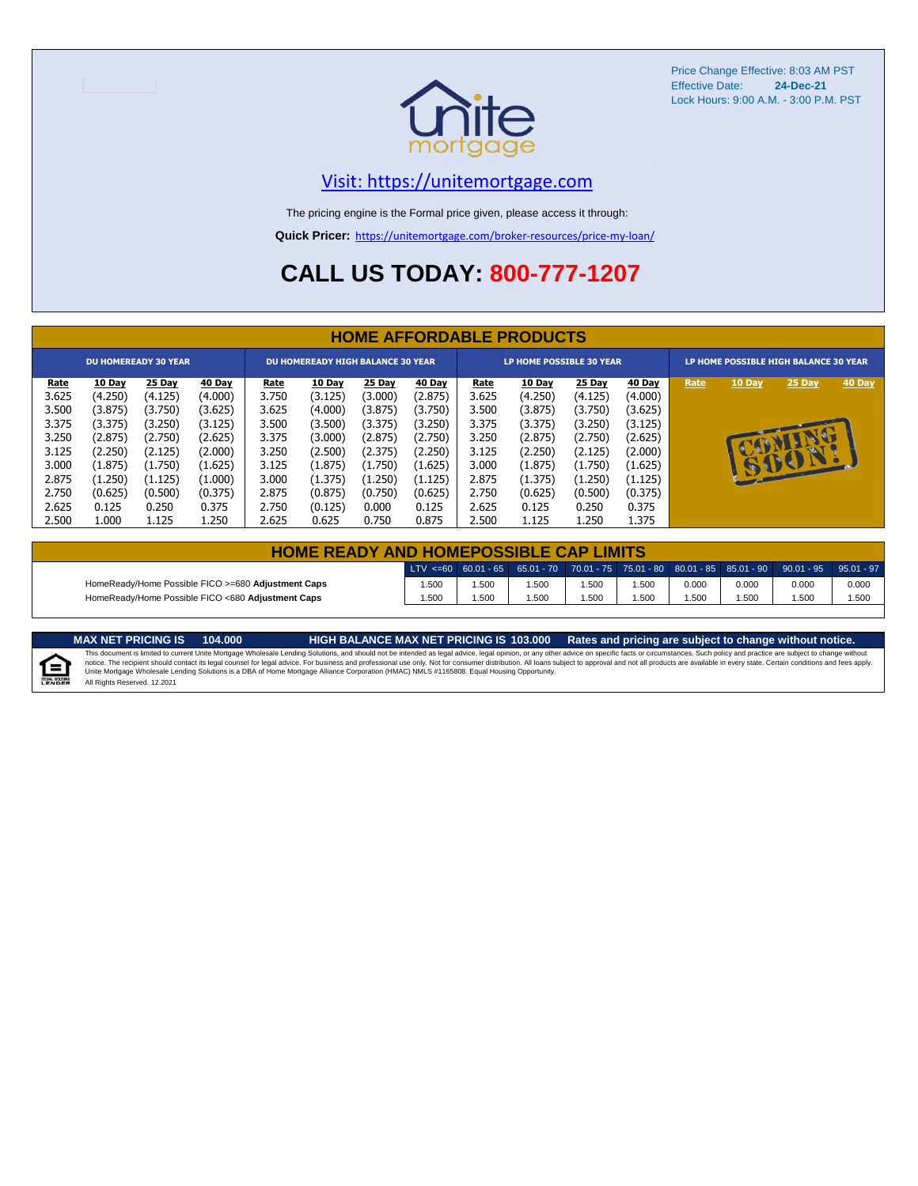

Price Change Effective: 8:03 AM PST Effective Date: **24-Dec-21** Lock Hours: 9:00 A.M. - 3:00 P.M. PST

#### [V](https://unitemortgage.com/)isit: https://unitemortgage.com

The pricing engine is the Formal price given, please access it through:

**Quick Pricer:** [https://un](https://unitemortgage.com/broker-resources/price-my-loan/)itemortgage.com/broker-resources/price-my-loan/

### **CALL US TODAY: 800-777-1207**

|             | <b>HOME AFFORDABLE PRODUCTS</b> |         |         |             |                                          |         |         |             |                                 |         |         |      |                                       |        |        |  |
|-------------|---------------------------------|---------|---------|-------------|------------------------------------------|---------|---------|-------------|---------------------------------|---------|---------|------|---------------------------------------|--------|--------|--|
|             | <b>DU HOMEREADY 30 YEAR</b>     |         |         |             | <b>DU HOMEREADY HIGH BALANCE 30 YEAR</b> |         |         |             | <b>LP HOME POSSIBLE 30 YEAR</b> |         |         |      | LP HOME POSSIBLE HIGH BALANCE 30 YEAR |        |        |  |
| <u>Rate</u> | 10 Day                          | 25 Day  | 40 Day  | <u>Rate</u> | <b>10 Day</b>                            | 25 Day  | 40 Day  | <u>Rate</u> | <b>10 Day</b>                   | 25 Day  | 40 Day  | Rate | 10 Day                                | 25 Day | 40 Day |  |
| 3.625       | (4.250)                         | (4.125) | (4.000) | 3.750       | (3.125)                                  | (3.000) | (2.875) | 3.625       | (4.250)                         | (4.125) | (4.000) |      |                                       |        |        |  |
| 3.500       | (3.875)                         | (3.750) | (3.625) | 3.625       | (4.000)                                  | (3.875) | (3.750) | 3.500       | (3.875)                         | (3.750) | (3.625) |      |                                       |        |        |  |
| 3.375       | (3.375)                         | (3.250) | (3.125) | 3.500       | (3.500)                                  | (3.375) | (3.250) | 3.375       | (3.375)                         | (3.250) | (3.125) |      |                                       |        |        |  |
| 3.250       | (2.875)                         | (2.750) | (2.625) | 3.375       | (3.000)                                  | (2.875) | (2.750) | 3.250       | (2.875)                         | (2.750) | (2.625) |      |                                       |        |        |  |
| 3.125       | (2.250)                         | (2.125) | (2.000) | 3.250       | (2.500)                                  | (2.375) | (2.250) | 3.125       | (2.250)                         | (2.125) | (2.000) |      |                                       |        |        |  |
| 3.000       | (1.875)                         | (1.750) | (1.625) | 3.125       | (1.875)                                  | (1.750) | (1.625) | 3.000       | (1.875)                         | (1.750) | (1.625) |      | $\mathbf{F}$                          | SSSST  |        |  |
| 2.875       | (1.250)                         | (1.125) | (1.000) | 3.000       | (1.375)                                  | (1.250) | (1.125) | 2.875       | (1.375)                         | (1.250) | (1.125) |      |                                       |        |        |  |
| 2.750       | (0.625)                         | (0.500) | (0.375) | 2.875       | (0.875)                                  | (0.750) | (0.625) | 2.750       | (0.625)                         | (0.500) | (0.375) |      |                                       |        |        |  |
| 2.625       | 0.125                           | 0.250   | 0.375   | 2.750       | (0.125)                                  | 0.000   | 0.125   | 2.625       | 0.125                           | 0.250   | 0.375   |      |                                       |        |        |  |
| 2.500       | 1.000                           | 1.125   | 1.250   | 2.625       | 0.625                                    | 0.750   | 0.875   | 2.500       | 1.125                           | 1.250   | 1.375   |      |                                       |        |        |  |

| <b>HOME READY AND HOMEPOSSIBLE CAP LIMITS</b>                                                                     |      |      |      |      |      |       |       |       |       |  |  |  |
|-------------------------------------------------------------------------------------------------------------------|------|------|------|------|------|-------|-------|-------|-------|--|--|--|
| LTV <=60 60.01 - 65 65.01 - 70 70.01 - 75 75.01 - 80 80.01 - 85 85.01 - 90 90.01 - 95 95.01 - 97                  |      |      |      |      |      |       |       |       |       |  |  |  |
| HomeReady/Home Possible FICO >=680 Adjustment Caps                                                                | .500 | .500 | .500 | .500 | .500 | 0.000 | 0.000 | 0.000 | 0.000 |  |  |  |
| HomeReady/Home Possible FICO <680 Adjustment Caps<br>.500<br>.500<br>.500<br>.500<br>.500<br>.500<br>.500<br>.500 |      |      |      |      |      |       |       |       |       |  |  |  |

MAX NET PRICING IS 103.000 Rates and pricing are subject to change without notice.<br>This document is limited to current Unite Mortgage Wholesale Lending Solutions, and should not be intended as legal advice, legal opinion, All Rights Reserved. 12.2021

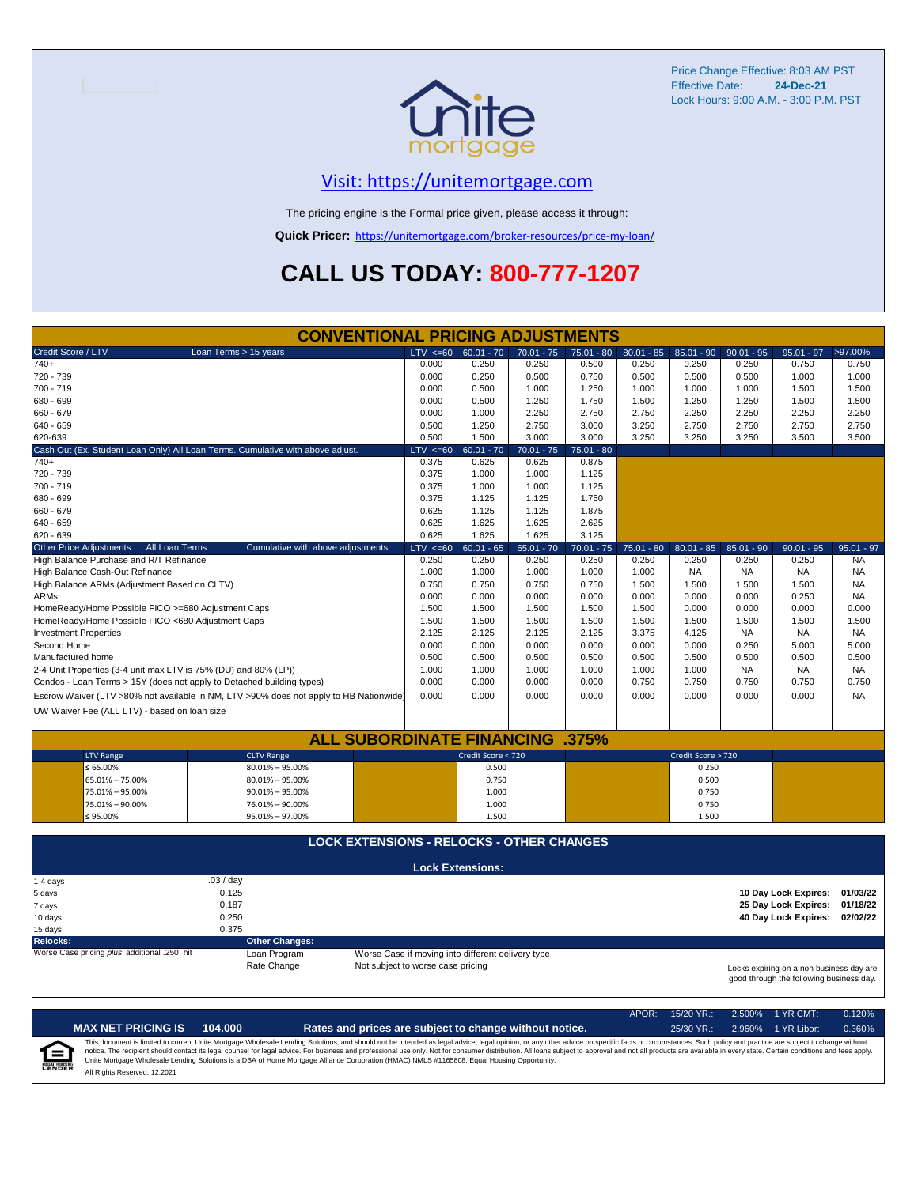

Price Change Effective: 8:03 AM PST Effective Date: **24-Dec-21** Lock Hours: 9:00 A.M. - 3:00 P.M. PST

#### [V](https://unitemortgage.com/)isit: https://unitemortgage.com

The pricing engine is the Formal price given, please access it through:

**Quick Pricer:** [https://un](https://unitemortgage.com/broker-resources/price-my-loan/)itemortgage.com/broker-resources/price-my-loan/

## **CALL US TODAY: 800-777-1207**

|                                                                       | <b>CONVENTIONAL PRICING ADJUSTMENTS</b>                                                                                                                                                       |              |                         |              |              |              |                    |              |                      |              |  |
|-----------------------------------------------------------------------|-----------------------------------------------------------------------------------------------------------------------------------------------------------------------------------------------|--------------|-------------------------|--------------|--------------|--------------|--------------------|--------------|----------------------|--------------|--|
| Credit Score / LTV                                                    | Loan Terms > 15 years                                                                                                                                                                         | $LTV \le 60$ | $60.01 - 70$            | $70.01 - 75$ | $75.01 - 80$ | $80.01 - 85$ | $85.01 - 90$       | $90.01 - 95$ | $95.01 - 97$         | >97.00%      |  |
| $740+$                                                                |                                                                                                                                                                                               | 0.000        | 0.250                   | 0.250        | 0.500        | 0.250        | 0.250              | 0.250        | 0.750                | 0.750        |  |
| 720 - 739                                                             |                                                                                                                                                                                               | 0.000        | 0.250                   | 0.500        | 0.750        | 0.500        | 0.500              | 0.500        | 1.000                | 1.000        |  |
| 700 - 719                                                             |                                                                                                                                                                                               | 0.000        | 0.500                   | 1.000        | 1.250        | 1.000        | 1.000              | 1.000        | 1.500                | 1.500        |  |
| 680 - 699                                                             |                                                                                                                                                                                               | 0.000        | 0.500                   | 1.250        | 1.750        | 1.500        | 1.250              | 1.250        | 1.500                | 1.500        |  |
| 660 - 679                                                             |                                                                                                                                                                                               | 0.000        | 1.000                   | 2.250        | 2.750        | 2.750        | 2.250              | 2.250        | 2.250                | 2.250        |  |
| 640 - 659                                                             |                                                                                                                                                                                               | 0.500        | 1.250                   | 2.750        | 3.000        | 3.250        | 2.750              | 2.750        | 2.750                | 2.750        |  |
| 620-639                                                               |                                                                                                                                                                                               | 0.500        | 1.500                   | 3.000        | 3.000        | 3.250        | 3.250              | 3.250        | 3.500                | 3.500        |  |
|                                                                       | Cash Out (Ex. Student Loan Only) All Loan Terms. Cumulative with above adjust.                                                                                                                | $LTV \le 60$ | $60.01 - 70$            | $70.01 - 75$ | $75.01 - 80$ |              |                    |              |                      |              |  |
| $740+$                                                                |                                                                                                                                                                                               | 0.375        | 0.625                   | 0.625        | 0.875        |              |                    |              |                      |              |  |
| 720 - 739                                                             |                                                                                                                                                                                               | 0.375        | 1.000                   | 1.000        | 1.125        |              |                    |              |                      |              |  |
| 700 - 719                                                             |                                                                                                                                                                                               | 0.375        | 1.000                   | 1.000        | 1.125        |              |                    |              |                      |              |  |
| 680 - 699                                                             |                                                                                                                                                                                               | 0.375        | 1.125                   | 1.125        | 1.750        |              |                    |              |                      |              |  |
| 660 - 679                                                             |                                                                                                                                                                                               | 0.625        | 1.125                   | 1.125        | 1.875        |              |                    |              |                      |              |  |
| 640 - 659                                                             |                                                                                                                                                                                               | 0.625        | 1.625                   | 1.625        | 2.625        |              |                    |              |                      |              |  |
| 620 - 639                                                             |                                                                                                                                                                                               | 0.625        | 1.625                   | 1.625        | 3.125        |              |                    |              |                      |              |  |
| <b>Other Price Adjustments</b><br>All Loan Terms                      | Cumulative with above adjustments                                                                                                                                                             | $LTV \le 60$ | $60.01 - 65$            | $65.01 - 70$ | $70.01 - 75$ | $75.01 - 80$ | $80.01 - 85$       | $85.01 - 90$ | $90.01 - 95$         | $95.01 - 97$ |  |
| High Balance Purchase and R/T Refinance                               |                                                                                                                                                                                               | 0.250        | 0.250                   | 0.250        | 0.250        | 0.250        | 0.250              | 0.250        | 0.250                | <b>NA</b>    |  |
| High Balance Cash-Out Refinance                                       |                                                                                                                                                                                               | 1.000        | 1.000                   | 1.000        | 1.000        | 1.000        | <b>NA</b>          | <b>NA</b>    | <b>NA</b>            | <b>NA</b>    |  |
| High Balance ARMs (Adjustment Based on CLTV)                          |                                                                                                                                                                                               | 0.750        | 0.750                   | 0.750        | 0.750        | 1.500        | 1.500              | 1.500        | 1.500                | <b>NA</b>    |  |
| <b>ARMs</b>                                                           |                                                                                                                                                                                               | 0.000        | 0.000                   | 0.000        | 0.000        | 0.000        | 0.000              | 0.000        | 0.250                | <b>NA</b>    |  |
| HomeReady/Home Possible FICO >=680 Adjustment Caps                    |                                                                                                                                                                                               | 1.500        | 1.500                   | 1.500        | 1.500        | 1.500        | 0.000              | 0.000        | 0.000                | 0.000        |  |
| HomeReady/Home Possible FICO <680 Adjustment Caps                     |                                                                                                                                                                                               | 1.500        | 1.500                   | 1.500        | 1.500        | 1.500        | 1.500              | 1.500        | 1.500                | 1.500        |  |
| <b>Investment Properties</b>                                          |                                                                                                                                                                                               | 2.125        | 2.125                   | 2.125        | 2.125        | 3.375        | 4.125              | <b>NA</b>    | <b>NA</b>            | NA.          |  |
| Second Home                                                           |                                                                                                                                                                                               | 0.000        | 0.000                   | 0.000        | 0.000        | 0.000        | 0.000              | 0.250        | 5.000                | 5.000        |  |
| Manufactured home                                                     |                                                                                                                                                                                               | 0.500        | 0.500                   | 0.500        | 0.500        | 0.500        | 0.500              | 0.500        | 0.500                | 0.500        |  |
| 2-4 Unit Properties (3-4 unit max LTV is 75% (DU) and 80% (LP))       |                                                                                                                                                                                               | 1.000        | 1.000                   | 1.000        | 1.000        | 1.000        | 1.000              | <b>NA</b>    | <b>NA</b>            | NA.          |  |
| Condos - Loan Terms > 15Y (does not apply to Detached building types) |                                                                                                                                                                                               | 0.000        | 0.000                   | 0.000        | 0.000        | 0.750        | 0.750              | 0.750        | 0.750                | 0.750        |  |
|                                                                       | Escrow Waiver (LTV >80% not available in NM, LTV >90% does not apply to HB Nationwide)                                                                                                        | 0.000        | 0.000                   | 0.000        | 0.000        | 0.000        | 0.000              | 0.000        | 0.000                | <b>NA</b>    |  |
| UW Waiver Fee (ALL LTV) - based on loan size                          |                                                                                                                                                                                               |              |                         |              |              |              |                    |              |                      |              |  |
|                                                                       |                                                                                                                                                                                               |              |                         |              |              |              |                    |              |                      |              |  |
|                                                                       | <b>ALL SUBORDINATE FINANCING</b>                                                                                                                                                              |              |                         |              | $.375\%$     |              |                    |              |                      |              |  |
| <b>LTV Range</b>                                                      | <b>CLTV Range</b>                                                                                                                                                                             |              | Credit Score < 720      |              |              |              | Credit Score > 720 |              |                      |              |  |
| ≤ 65.00%                                                              | $80.01\% - 95.00\%$                                                                                                                                                                           |              | 0.500                   |              |              |              | 0.250              |              |                      |              |  |
| 65.01% - 75.00%                                                       | $80.01\% - 95.00\%$                                                                                                                                                                           |              | 0.750                   |              |              |              | 0.500              |              |                      |              |  |
| 75.01% - 95.00%                                                       | $90.01\% - 95.00\%$                                                                                                                                                                           |              | 1.000                   |              |              |              | 0.750              |              |                      |              |  |
| 75.01% - 90.00%                                                       | 76.01% - 90.00%                                                                                                                                                                               |              | 1.000                   |              |              |              | 0.750              |              |                      |              |  |
| $$95.00\%$                                                            | 95.01% - 97.00%                                                                                                                                                                               |              | 1.500                   |              |              |              | 1.500              |              |                      |              |  |
|                                                                       |                                                                                                                                                                                               |              |                         |              |              |              |                    |              |                      |              |  |
|                                                                       | <b>LOCK EXTENSIONS - RELOCKS - OTHER CHANGES</b>                                                                                                                                              |              |                         |              |              |              |                    |              |                      |              |  |
|                                                                       |                                                                                                                                                                                               |              | <b>Lock Extensions:</b> |              |              |              |                    |              |                      |              |  |
| 1-4 days                                                              | .03/day                                                                                                                                                                                       |              |                         |              |              |              |                    |              |                      |              |  |
| 5 days                                                                | 0.125                                                                                                                                                                                         |              |                         |              |              |              |                    |              | 10 Day Lock Expires: | 01/03/22     |  |
| 7 days                                                                | 0.187                                                                                                                                                                                         |              |                         |              |              |              |                    |              | 25 Day Lock Expires: | 01/18/22     |  |
| 10 days                                                               | 0.250                                                                                                                                                                                         |              |                         |              |              |              |                    |              | 40 Day Lock Expires: | 02/02/22     |  |
| 15 days                                                               | 0.375                                                                                                                                                                                         |              |                         |              |              |              |                    |              |                      |              |  |
| <b>Relocks:</b>                                                       | <b>Other Changes:</b>                                                                                                                                                                         |              |                         |              |              |              |                    |              |                      |              |  |
| Worse Case pricing plus additional .250 hit                           | Loan Program                                                                                                                                                                                  |              |                         |              |              |              |                    |              |                      |              |  |
|                                                                       | Worse Case if moving into different delivery type<br>Rate Change<br>Not subject to worse case pricing<br>Locks expiring on a non business day are<br>good through the following business day. |              |                         |              |              |              |                    |              |                      |              |  |

|                            |                              |         |                                                                                                                                                                                                                                                                                                                                                                                                                                                                                                                                                                                                                | APOR: | $15/20$ YR.: | $2.500\%$ 1 YR CMT: | 0.120% |
|----------------------------|------------------------------|---------|----------------------------------------------------------------------------------------------------------------------------------------------------------------------------------------------------------------------------------------------------------------------------------------------------------------------------------------------------------------------------------------------------------------------------------------------------------------------------------------------------------------------------------------------------------------------------------------------------------------|-------|--------------|---------------------|--------|
|                            | <b>MAX NET PRICING IS</b>    | 104.000 | Rates and prices are subject to change without notice.                                                                                                                                                                                                                                                                                                                                                                                                                                                                                                                                                         |       | $25/30$ YR.: | 2.960% 1 YR Libor:  | 0.360% |
| ſ≘<br><b>EQUAL HOUSING</b> | All Rights Reserved, 12,2021 |         | This document is limited to current Unite Mortgage Wholesale Lending Solutions, and should not be intended as legal advice, legal opinion, or any other advice on specific facts or circumstances. Such policy and practice ar<br>notice. The recipient should contact its legal counsel for legal advice. For business and professional use only. Not for consumer distribution. All loans subject to approval and not all products are available in every stat<br>Unite Mortgage Wholesale Lending Solutions is a DBA of Home Mortgage Alliance Corporation (HMAC) NMLS #1165808. Equal Housing Opportunity. |       |              |                     |        |